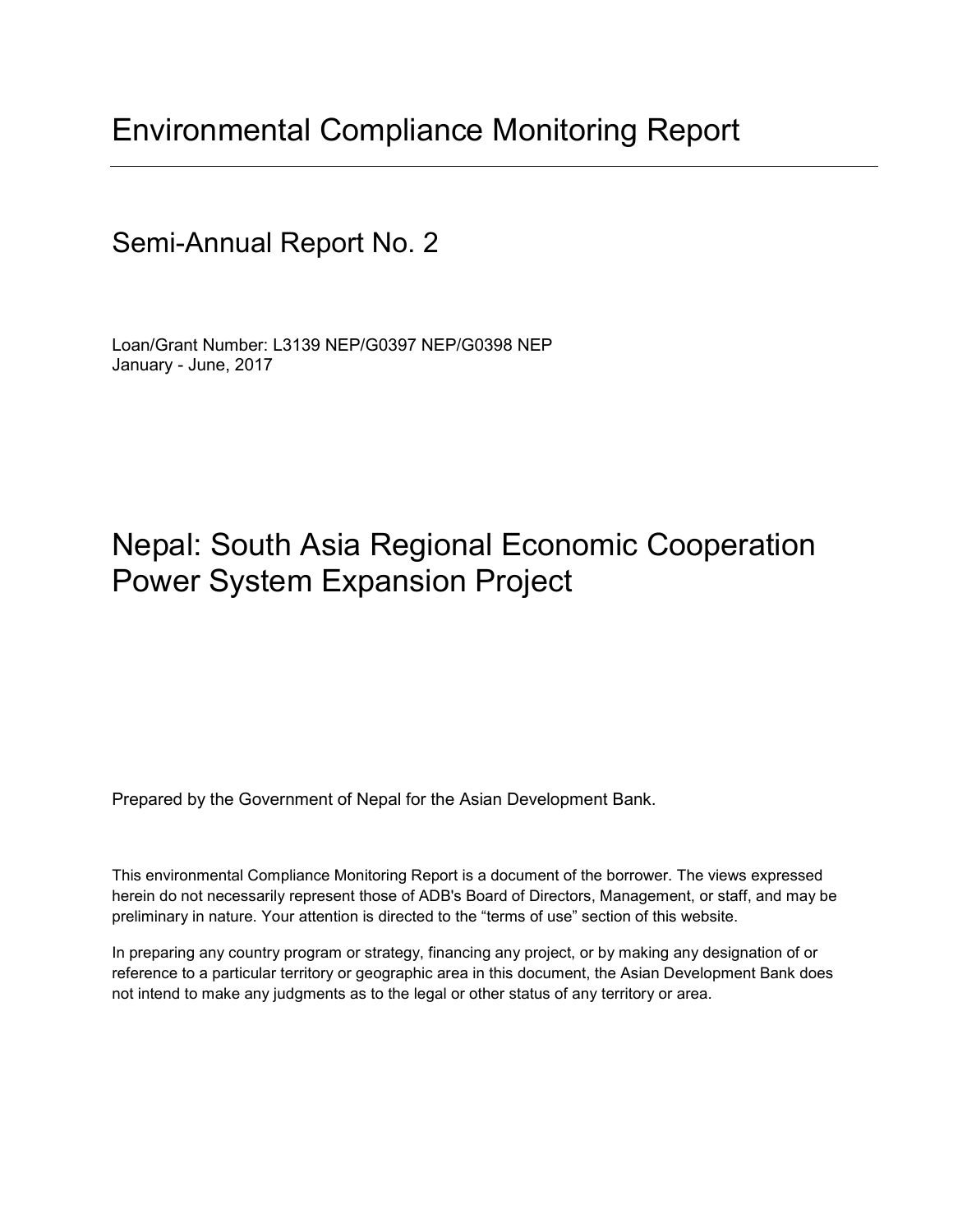## Environmental Compliance Monitoring Report

### Semi-Annual Report No. 2

Loan/Grant Number: L3139 NEP/G0397 NEP/G0398 NEP January - June, 2017

## Nepal: South Asia Regional Economic Cooperation Power System Expansion Project

Prepared by the Government of Nepal for the Asian Development Bank.

This environmental Compliance Monitoring Report is a document of the borrower. The views expressed herein do not necessarily represent those of ADB's Board of Directors, Management, or staff, and may be preliminary in nature. Your attention is directed to the "terms of use" section of this website.

In preparing any country program or strategy, financing any project, or by making any designation of or reference to a particular territory or geographic area in this document, the Asian Development Bank does not intend to make any judgments as to the legal or other status of any territory or area.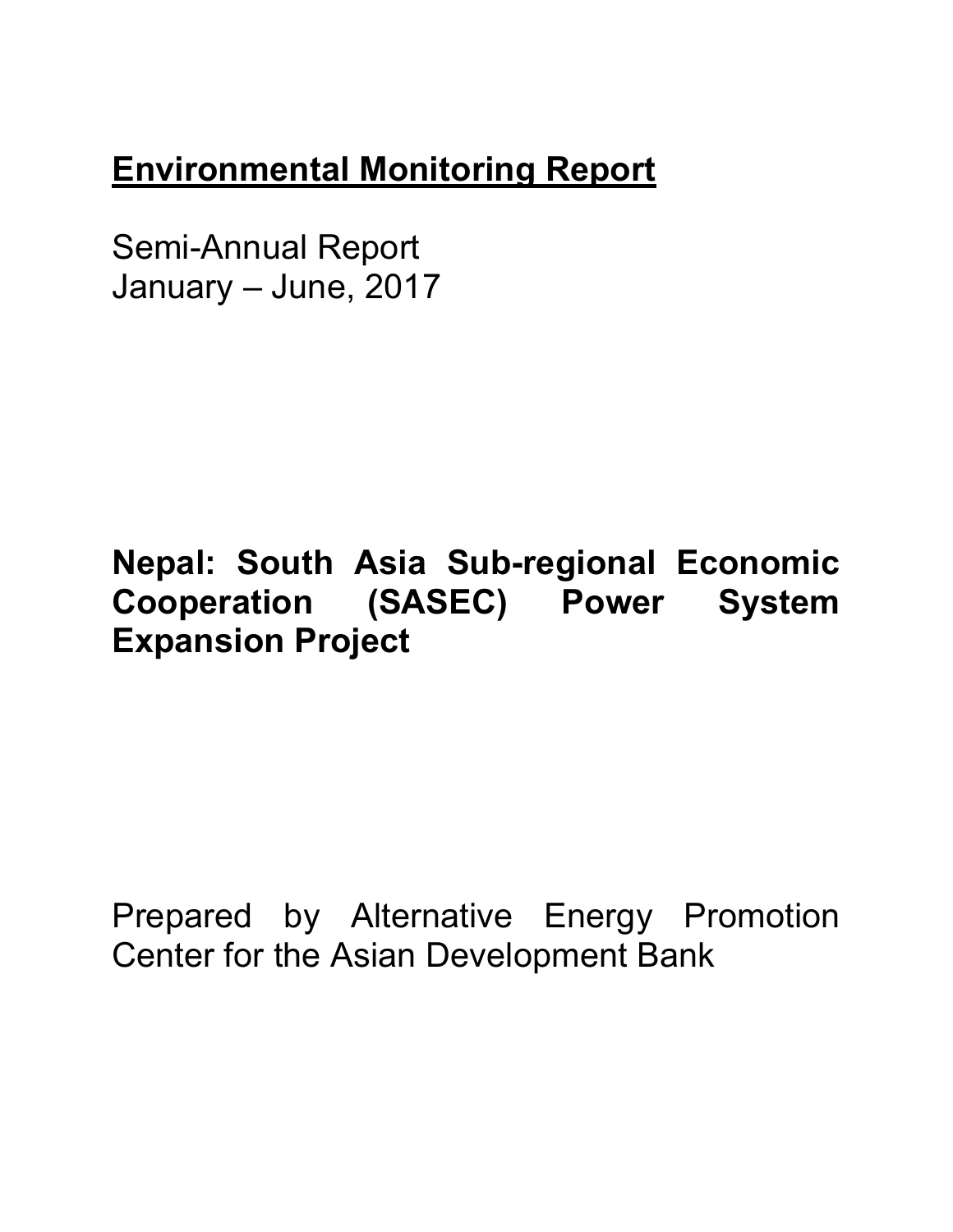# **Environmental Monitoring Report**

Semi-Annual Report January – June, 2017

# **Nepal: South Asia Sub-regional Economic Cooperation (SASEC) Power System Expansion Project**

Prepared by Alternative Energy Promotion Center for the Asian Development Bank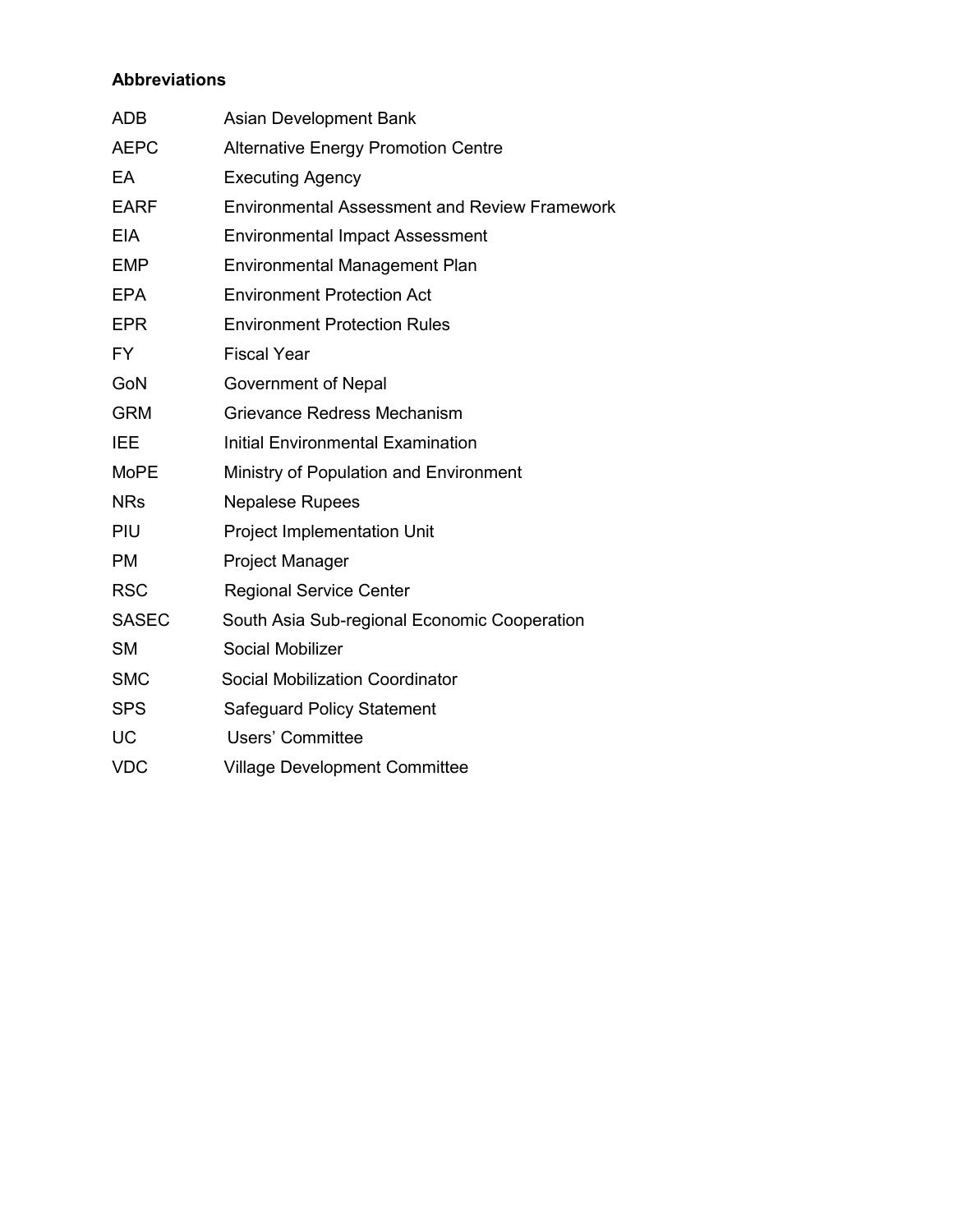#### **Abbreviations**

| <b>ADB</b>   | Asian Development Bank                               |
|--------------|------------------------------------------------------|
| <b>AEPC</b>  | <b>Alternative Energy Promotion Centre</b>           |
| EA           | <b>Executing Agency</b>                              |
| <b>EARF</b>  | <b>Environmental Assessment and Review Framework</b> |
| <b>EIA</b>   | <b>Environmental Impact Assessment</b>               |
| <b>EMP</b>   | <b>Environmental Management Plan</b>                 |
| <b>EPA</b>   | <b>Environment Protection Act</b>                    |
| <b>EPR</b>   | <b>Environment Protection Rules</b>                  |
| <b>FY</b>    | <b>Fiscal Year</b>                                   |
| GoN          | Government of Nepal                                  |
| <b>GRM</b>   | Grievance Redress Mechanism                          |
| <b>IEE</b>   | <b>Initial Environmental Examination</b>             |
| <b>MoPE</b>  | Ministry of Population and Environment               |
| <b>NRs</b>   | <b>Nepalese Rupees</b>                               |
| PIU          | <b>Project Implementation Unit</b>                   |
| <b>PM</b>    | <b>Project Manager</b>                               |
| <b>RSC</b>   | <b>Regional Service Center</b>                       |
| <b>SASEC</b> | South Asia Sub-regional Economic Cooperation         |
| <b>SM</b>    | Social Mobilizer                                     |
| <b>SMC</b>   | <b>Social Mobilization Coordinator</b>               |
| <b>SPS</b>   | Safeguard Policy Statement                           |
| <b>UC</b>    | <b>Users' Committee</b>                              |
| <b>VDC</b>   | <b>Village Development Committee</b>                 |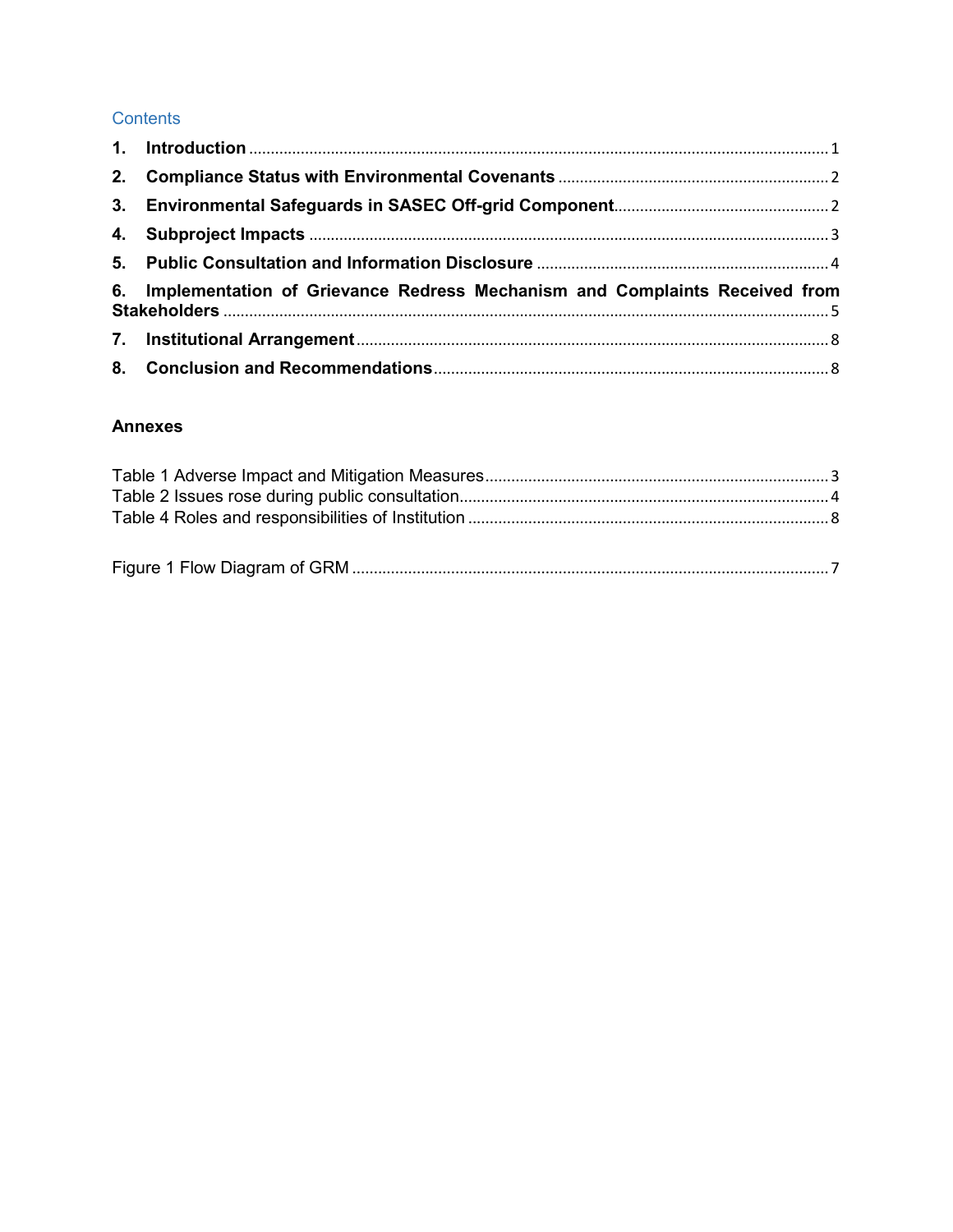#### Contents

| 6. Implementation of Grievance Redress Mechanism and Complaints Received from |  |
|-------------------------------------------------------------------------------|--|
|                                                                               |  |
|                                                                               |  |

#### **Annexes**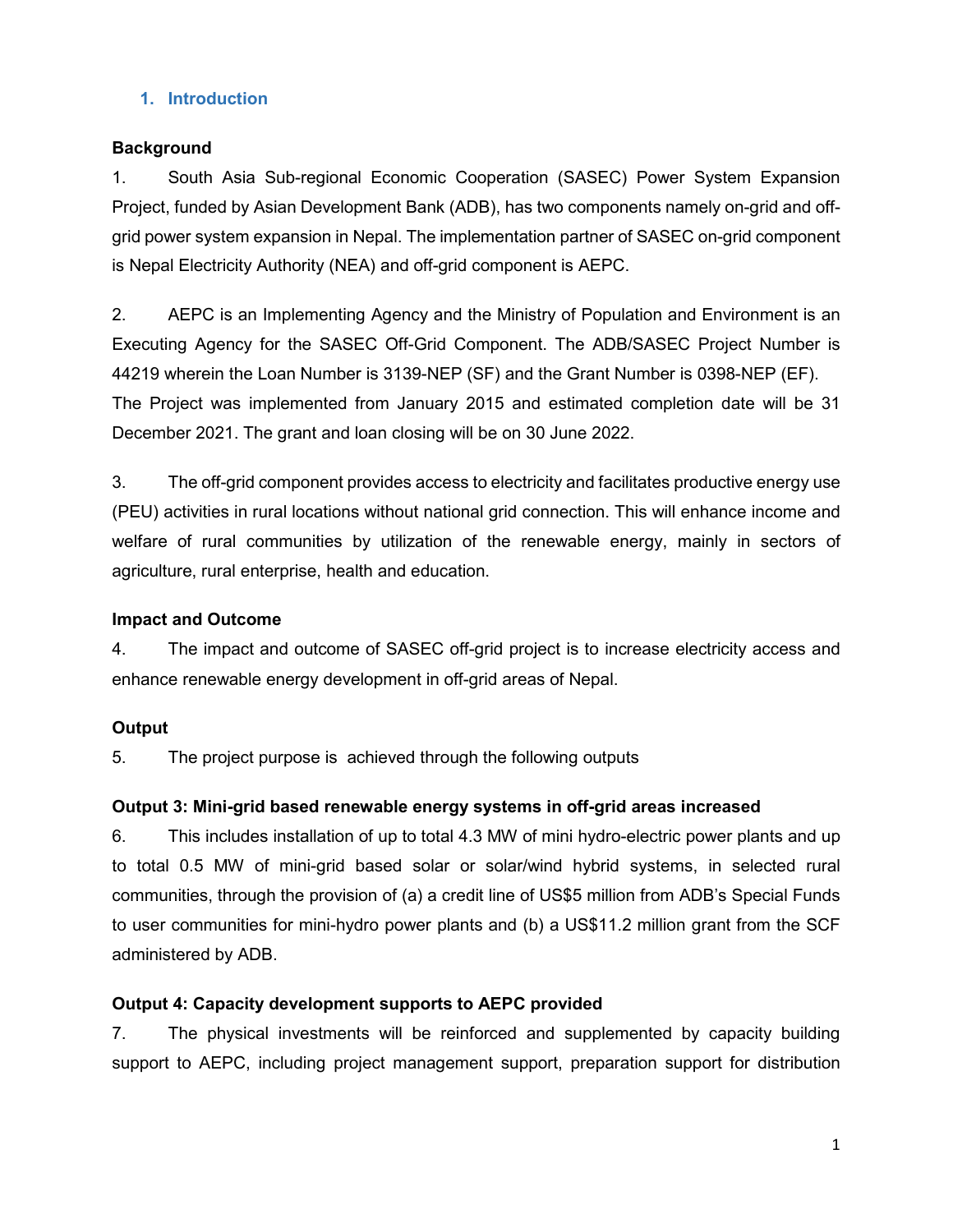#### **1. Introduction**

#### **Background**

1. South Asia Sub-regional Economic Cooperation (SASEC) Power System Expansion Project, funded by Asian Development Bank (ADB), has two components namely on-grid and offgrid power system expansion in Nepal. The implementation partner of SASEC on-grid component is Nepal Electricity Authority (NEA) and off-grid component is AEPC.

2. AEPC is an Implementing Agency and the Ministry of Population and Environment is an Executing Agency for the SASEC Off-Grid Component. The ADB/SASEC Project Number is 44219 wherein the Loan Number is 3139-NEP (SF) and the Grant Number is 0398-NEP (EF). The Project was implemented from January 2015 and estimated completion date will be 31 December 2021. The grant and loan closing will be on 30 June 2022.

3. The off-grid component provides access to electricity and facilitates productive energy use (PEU) activities in rural locations without national grid connection. This will enhance income and welfare of rural communities by utilization of the renewable energy, mainly in sectors of agriculture, rural enterprise, health and education.

#### **Impact and Outcome**

4. The impact and outcome of SASEC off-grid project is to increase electricity access and enhance renewable energy development in off-grid areas of Nepal.

#### **Output**

5. The project purpose is achieved through the following outputs

#### **Output 3: Mini-grid based renewable energy systems in off-grid areas increased**

6. This includes installation of up to total 4.3 MW of mini hydro-electric power plants and up to total 0.5 MW of mini-grid based solar or solar/wind hybrid systems, in selected rural communities, through the provision of (a) a credit line of US\$5 million from ADB's Special Funds to user communities for mini-hydro power plants and (b) a US\$11.2 million grant from the SCF administered by ADB.

#### **Output 4: Capacity development supports to AEPC provided**

7. The physical investments will be reinforced and supplemented by capacity building support to AEPC, including project management support, preparation support for distribution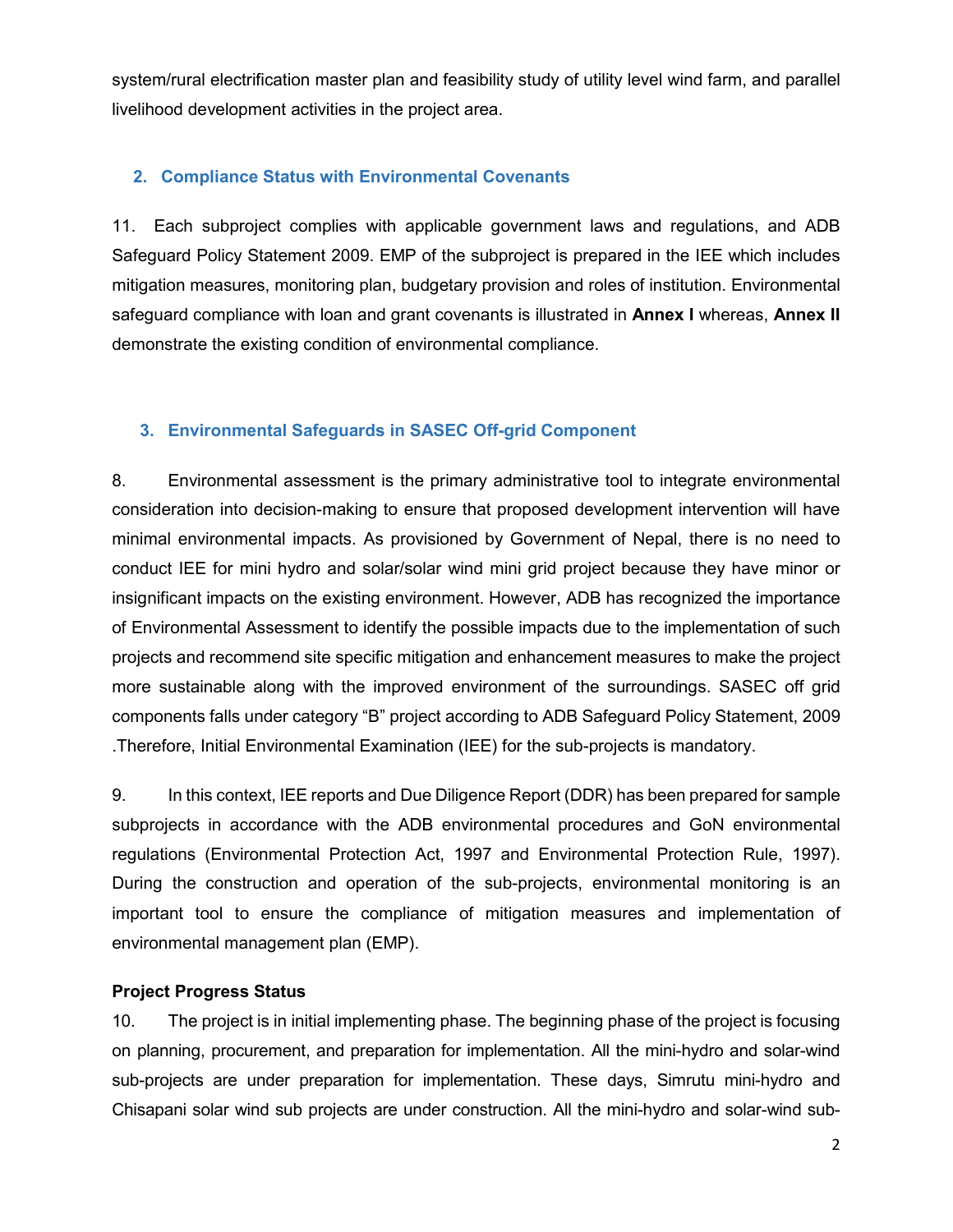system/rural electrification master plan and feasibility study of utility level wind farm, and parallel livelihood development activities in the project area.

#### **2. Compliance Status with Environmental Covenants**

11. Each subproject complies with applicable government laws and regulations, and ADB Safeguard Policy Statement 2009. EMP of the subproject is prepared in the IEE which includes mitigation measures, monitoring plan, budgetary provision and roles of institution. Environmental safeguard compliance with loan and grant covenants is illustrated in **Annex I** whereas, **Annex II**  demonstrate the existing condition of environmental compliance.

#### **3. Environmental Safeguards in SASEC Off-grid Component**

8. Environmental assessment is the primary administrative tool to integrate environmental consideration into decision-making to ensure that proposed development intervention will have minimal environmental impacts. As provisioned by Government of Nepal, there is no need to conduct IEE for mini hydro and solar/solar wind mini grid project because they have minor or insignificant impacts on the existing environment. However, ADB has recognized the importance of Environmental Assessment to identify the possible impacts due to the implementation of such projects and recommend site specific mitigation and enhancement measures to make the project more sustainable along with the improved environment of the surroundings. SASEC off grid components falls under category "B" project according to ADB Safeguard Policy Statement, 2009 .Therefore, Initial Environmental Examination (IEE) for the sub-projects is mandatory.

9. In this context, IEE reports and Due Diligence Report (DDR) has been prepared for sample subprojects in accordance with the ADB environmental procedures and GoN environmental regulations (Environmental Protection Act, 1997 and Environmental Protection Rule, 1997). During the construction and operation of the sub-projects, environmental monitoring is an important tool to ensure the compliance of mitigation measures and implementation of environmental management plan (EMP).

#### **Project Progress Status**

10. The project is in initial implementing phase. The beginning phase of the project is focusing on planning, procurement, and preparation for implementation. All the mini-hydro and solar-wind sub-projects are under preparation for implementation. These days, Simrutu mini-hydro and Chisapani solar wind sub projects are under construction. All the mini-hydro and solar-wind sub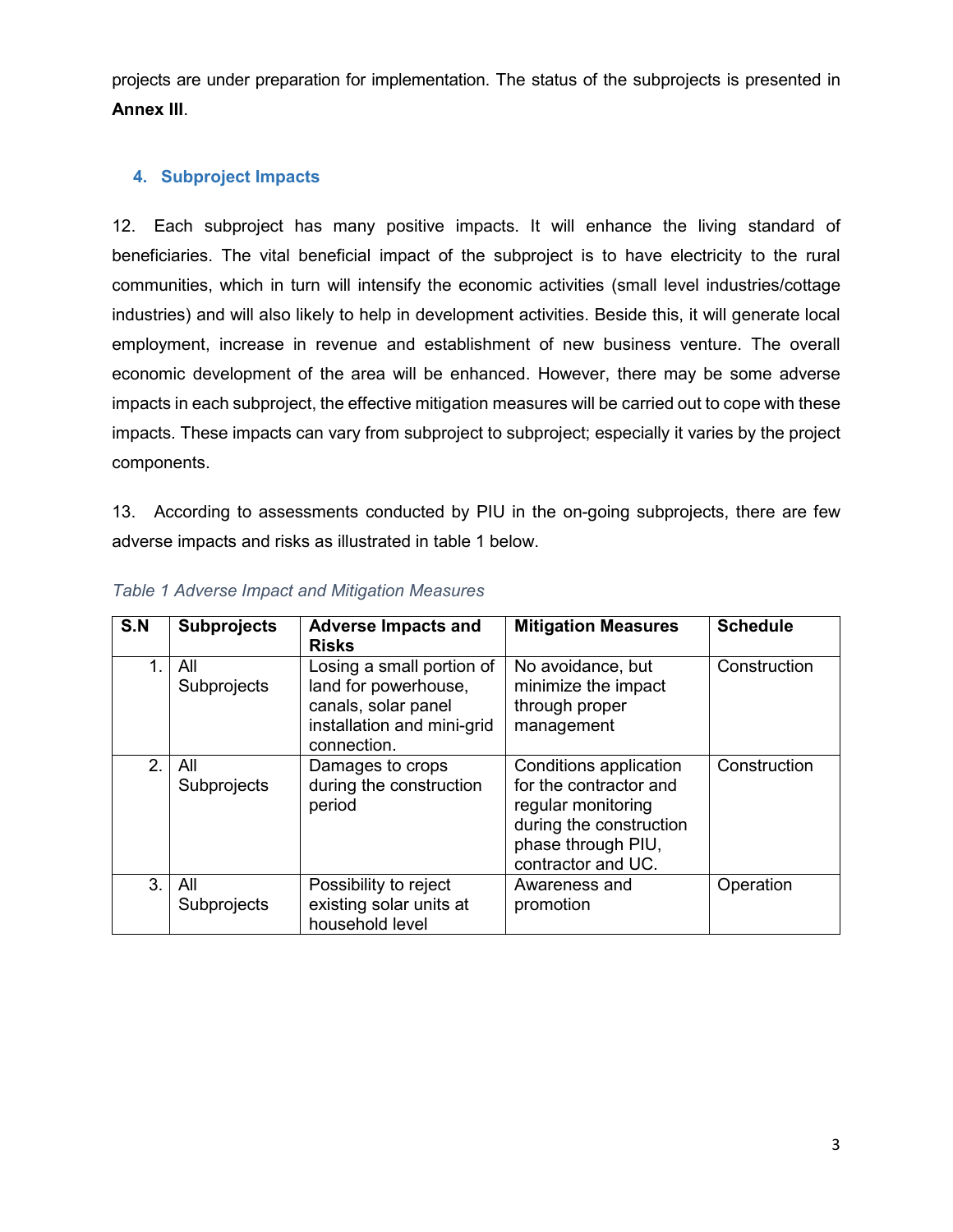projects are under preparation for implementation. The status of the subprojects is presented in **Annex III**.

#### **4. Subproject Impacts**

12. Each subproject has many positive impacts. It will enhance the living standard of beneficiaries. The vital beneficial impact of the subproject is to have electricity to the rural communities, which in turn will intensify the economic activities (small level industries/cottage industries) and will also likely to help in development activities. Beside this, it will generate local employment, increase in revenue and establishment of new business venture. The overall economic development of the area will be enhanced. However, there may be some adverse impacts in each subproject, the effective mitigation measures will be carried out to cope with these impacts. These impacts can vary from subproject to subproject; especially it varies by the project components.

13. According to assessments conducted by PIU in the on-going subprojects, there are few adverse impacts and risks as illustrated in table 1 below.

| S.N     | <b>Subprojects</b> | <b>Adverse Impacts and</b>                                                                                            | <b>Mitigation Measures</b>                                                                                                                    | <b>Schedule</b> |
|---------|--------------------|-----------------------------------------------------------------------------------------------------------------------|-----------------------------------------------------------------------------------------------------------------------------------------------|-----------------|
|         |                    | <b>Risks</b>                                                                                                          |                                                                                                                                               |                 |
|         | All<br>Subprojects | Losing a small portion of<br>land for powerhouse,<br>canals, solar panel<br>installation and mini-grid<br>connection. | No avoidance, but<br>minimize the impact<br>through proper<br>management                                                                      | Construction    |
| $2_{-}$ | All<br>Subprojects | Damages to crops<br>during the construction<br>period                                                                 | Conditions application<br>for the contractor and<br>regular monitoring<br>during the construction<br>phase through PIU,<br>contractor and UC. | Construction    |
| 3.      | All<br>Subprojects | Possibility to reject<br>existing solar units at<br>household level                                                   | Awareness and<br>promotion                                                                                                                    | Operation       |

|  |  |  |  |  |  | <b>Table 1 Adverse Impact and Mitigation Measures</b> |
|--|--|--|--|--|--|-------------------------------------------------------|
|--|--|--|--|--|--|-------------------------------------------------------|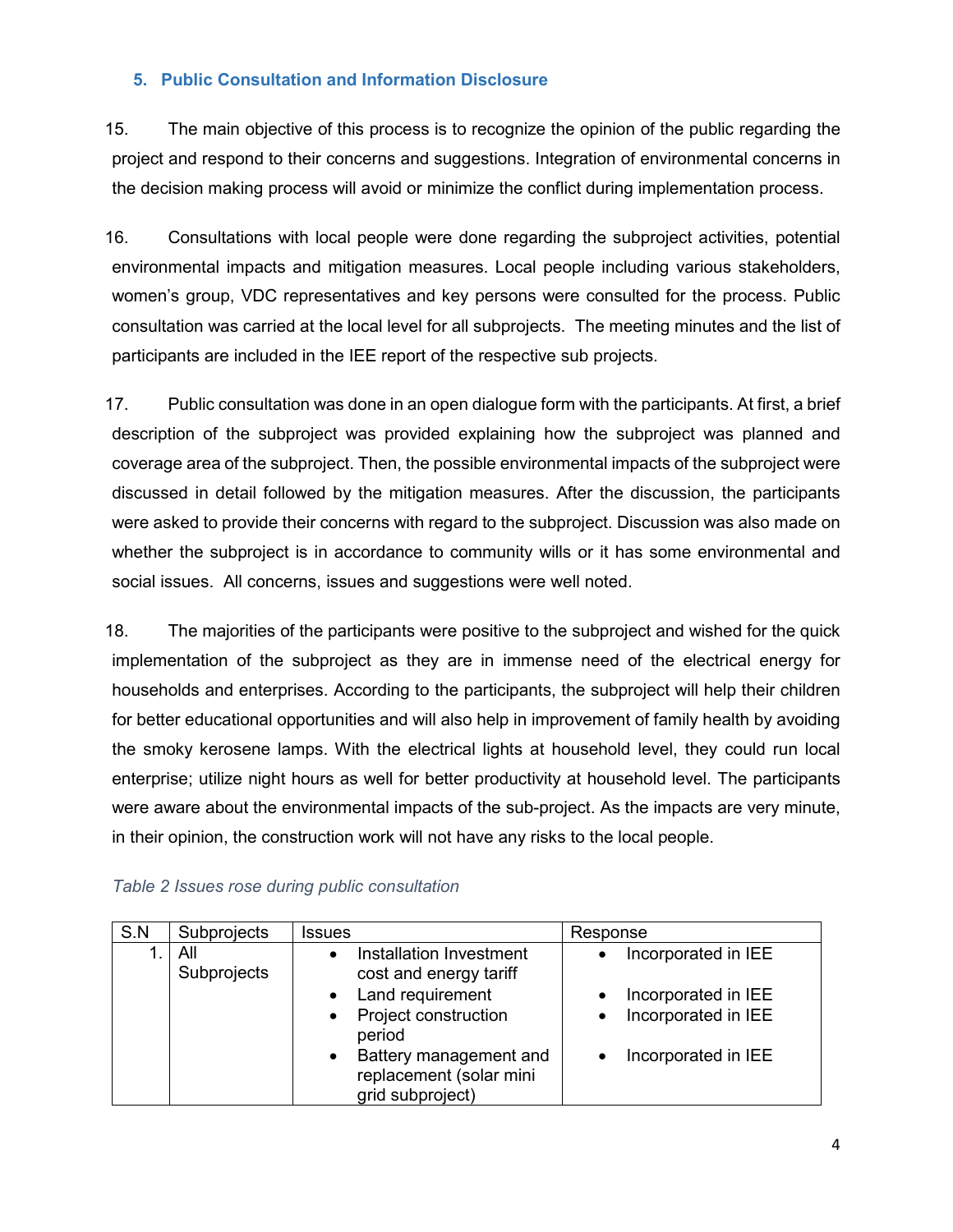#### **5. Public Consultation and Information Disclosure**

15. The main objective of this process is to recognize the opinion of the public regarding the project and respond to their concerns and suggestions. Integration of environmental concerns in the decision making process will avoid or minimize the conflict during implementation process.

16. Consultations with local people were done regarding the subproject activities, potential environmental impacts and mitigation measures. Local people including various stakeholders, women's group, VDC representatives and key persons were consulted for the process. Public consultation was carried at the local level for all subprojects. The meeting minutes and the list of participants are included in the IEE report of the respective sub projects.

17. Public consultation was done in an open dialogue form with the participants. At first, a brief description of the subproject was provided explaining how the subproject was planned and coverage area of the subproject. Then, the possible environmental impacts of the subproject were discussed in detail followed by the mitigation measures. After the discussion, the participants were asked to provide their concerns with regard to the subproject. Discussion was also made on whether the subproject is in accordance to community wills or it has some environmental and social issues. All concerns, issues and suggestions were well noted.

18. The majorities of the participants were positive to the subproject and wished for the quick implementation of the subproject as they are in immense need of the electrical energy for households and enterprises. According to the participants, the subproject will help their children for better educational opportunities and will also help in improvement of family health by avoiding the smoky kerosene lamps. With the electrical lights at household level, they could run local enterprise; utilize night hours as well for better productivity at household level. The participants were aware about the environmental impacts of the sub-project. As the impacts are very minute, in their opinion, the construction work will not have any risks to the local people.

| S.N | Subprojects        | <b>Issues</b>                                                                      | Response                         |
|-----|--------------------|------------------------------------------------------------------------------------|----------------------------------|
|     | All<br>Subprojects | Installation Investment<br>cost and energy tariff                                  | Incorporated in IEE<br>$\bullet$ |
|     |                    | Land requirement                                                                   | Incorporated in IEE              |
|     |                    | Project construction<br>$\bullet$<br>period                                        | Incorporated in IEE              |
|     |                    | Battery management and<br>$\bullet$<br>replacement (solar mini<br>grid subproject) | Incorporated in IEE              |

#### *Table 2 Issues rose during public consultation*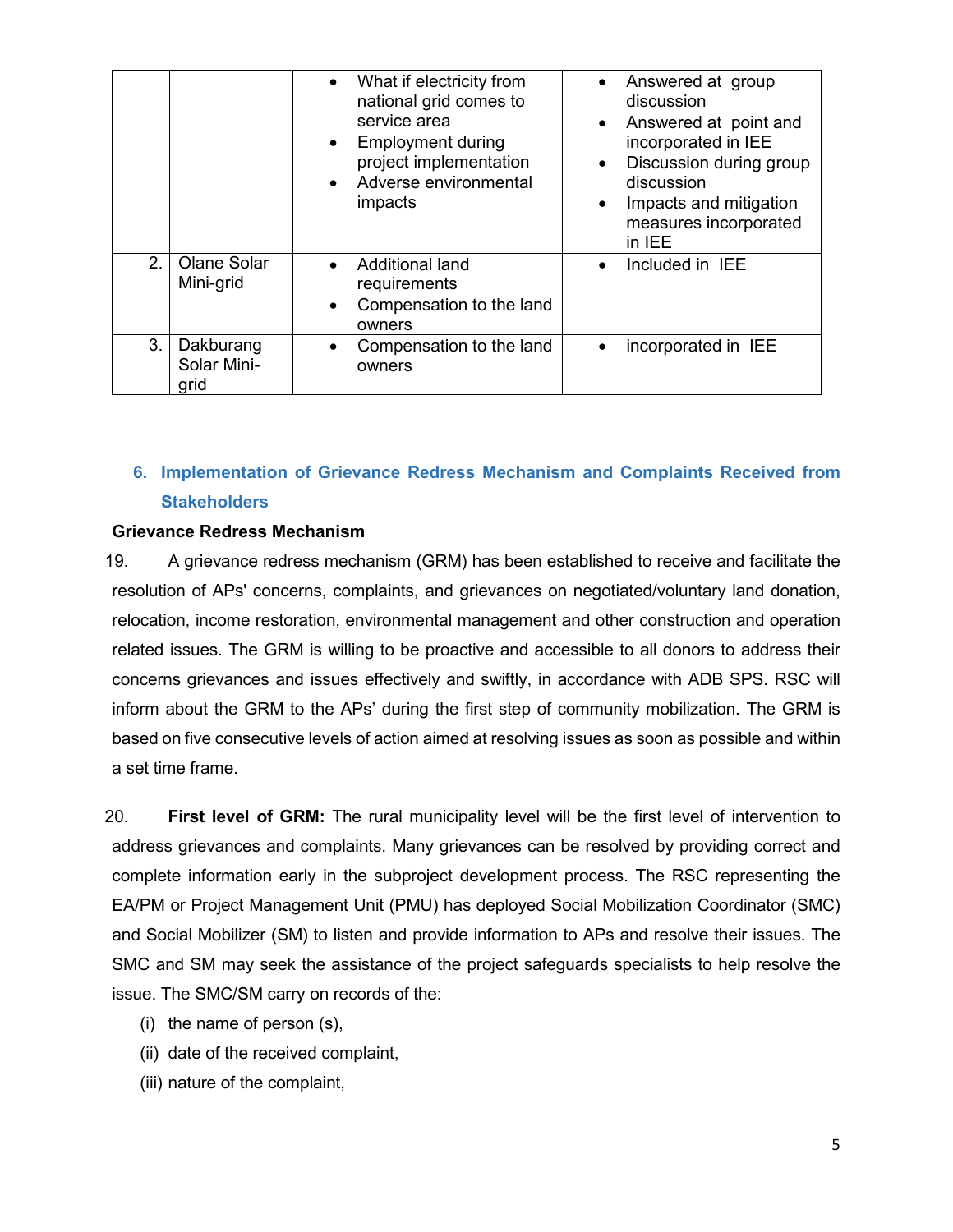|         |                                  | • What if electricity from<br>national grid comes to<br>service area<br><b>Employment during</b><br>$\bullet$<br>project implementation<br>Adverse environmental<br>$\bullet$<br>impacts | Answered at group<br>$\bullet$<br>discussion<br>Answered at point and<br>$\bullet$<br>incorporated in IEE<br>Discussion during group<br>$\bullet$<br>discussion<br>Impacts and mitigation<br>$\bullet$<br>measures incorporated<br>in IEE |
|---------|----------------------------------|------------------------------------------------------------------------------------------------------------------------------------------------------------------------------------------|-------------------------------------------------------------------------------------------------------------------------------------------------------------------------------------------------------------------------------------------|
| $2_{-}$ | <b>Olane Solar</b><br>Mini-grid  | <b>Additional land</b><br>$\bullet$<br>requirements<br>Compensation to the land<br>$\bullet$<br>owners                                                                                   | Included in IEE<br>$\bullet$                                                                                                                                                                                                              |
| 3.      | Dakburang<br>Solar Mini-<br>grid | Compensation to the land<br>$\bullet$<br>owners                                                                                                                                          | incorporated in IEE<br>$\bullet$                                                                                                                                                                                                          |

#### **6. Implementation of Grievance Redress Mechanism and Complaints Received from Stakeholders**

#### **Grievance Redress Mechanism**

19. A grievance redress mechanism (GRM) has been established to receive and facilitate the resolution of APs' concerns, complaints, and grievances on negotiated/voluntary land donation, relocation, income restoration, environmental management and other construction and operation related issues. The GRM is willing to be proactive and accessible to all donors to address their concerns grievances and issues effectively and swiftly, in accordance with ADB SPS. RSC will inform about the GRM to the APs' during the first step of community mobilization. The GRM is based on five consecutive levels of action aimed at resolving issues as soon as possible and within a set time frame.

20. **First level of GRM:** The rural municipality level will be the first level of intervention to address grievances and complaints. Many grievances can be resolved by providing correct and complete information early in the subproject development process. The RSC representing the EA/PM or Project Management Unit (PMU) has deployed Social Mobilization Coordinator (SMC) and Social Mobilizer (SM) to listen and provide information to APs and resolve their issues. The SMC and SM may seek the assistance of the project safeguards specialists to help resolve the issue. The SMC/SM carry on records of the:

- (i) the name of person (s),
- (ii) date of the received complaint,
- (iii) nature of the complaint,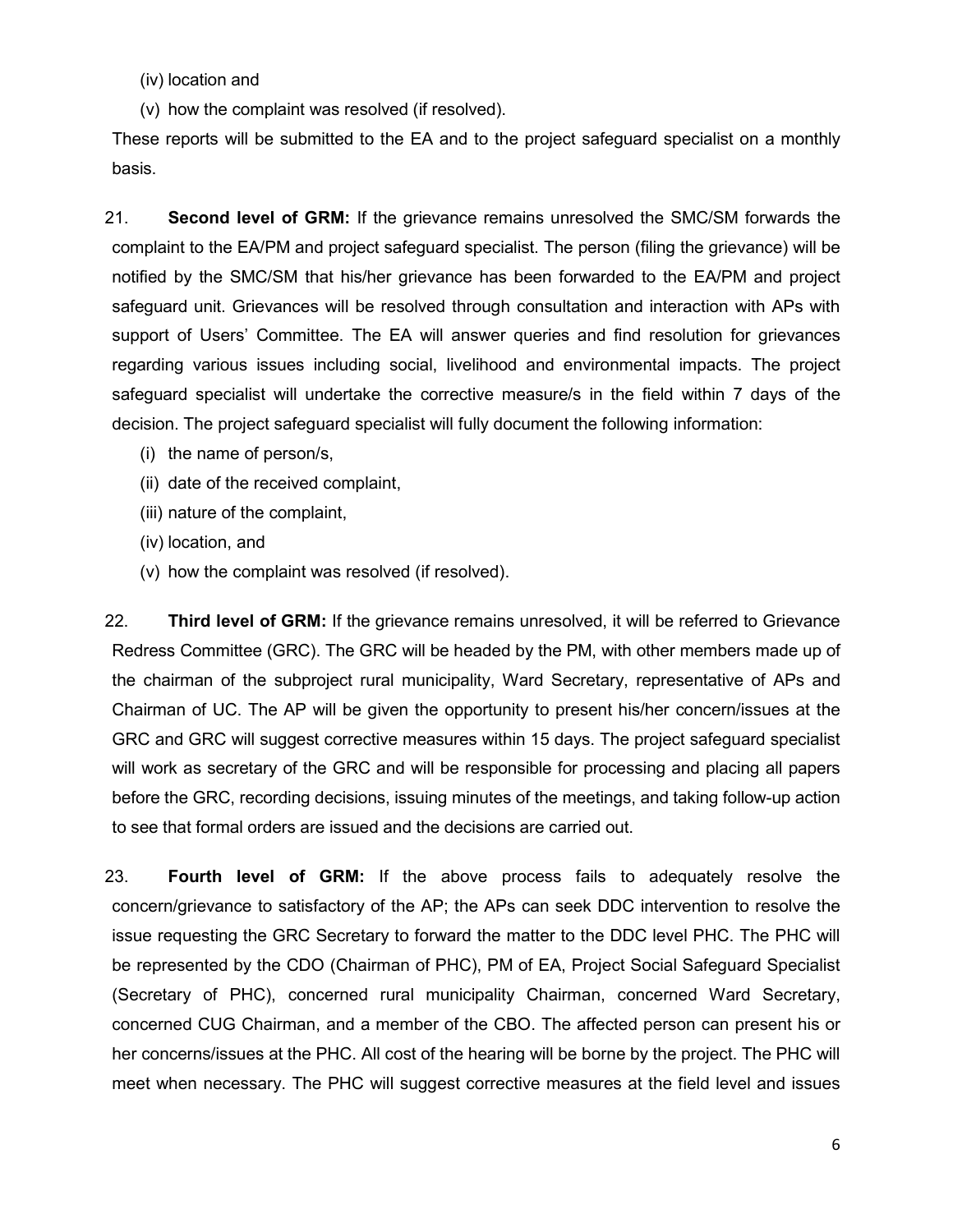(iv) location and

(v) how the complaint was resolved (if resolved).

These reports will be submitted to the EA and to the project safeguard specialist on a monthly basis.

21. **Second level of GRM:** If the grievance remains unresolved the SMC/SM forwards the complaint to the EA/PM and project safeguard specialist. The person (filing the grievance) will be notified by the SMC/SM that his/her grievance has been forwarded to the EA/PM and project safeguard unit. Grievances will be resolved through consultation and interaction with APs with support of Users' Committee. The EA will answer queries and find resolution for grievances regarding various issues including social, livelihood and environmental impacts. The project safeguard specialist will undertake the corrective measure/s in the field within 7 days of the decision. The project safeguard specialist will fully document the following information:

- (i) the name of person/s,
- (ii) date of the received complaint,
- (iii) nature of the complaint,
- (iv) location, and
- (v) how the complaint was resolved (if resolved).

22. **Third level of GRM:** If the grievance remains unresolved, it will be referred to Grievance Redress Committee (GRC). The GRC will be headed by the PM, with other members made up of the chairman of the subproject rural municipality, Ward Secretary, representative of APs and Chairman of UC. The AP will be given the opportunity to present his/her concern/issues at the GRC and GRC will suggest corrective measures within 15 days. The project safeguard specialist will work as secretary of the GRC and will be responsible for processing and placing all papers before the GRC, recording decisions, issuing minutes of the meetings, and taking follow-up action to see that formal orders are issued and the decisions are carried out.

23. **Fourth level of GRM:** If the above process fails to adequately resolve the concern/grievance to satisfactory of the AP; the APs can seek DDC intervention to resolve the issue requesting the GRC Secretary to forward the matter to the DDC level PHC. The PHC will be represented by the CDO (Chairman of PHC), PM of EA, Project Social Safeguard Specialist (Secretary of PHC), concerned rural municipality Chairman, concerned Ward Secretary, concerned CUG Chairman, and a member of the CBO. The affected person can present his or her concerns/issues at the PHC. All cost of the hearing will be borne by the project. The PHC will meet when necessary. The PHC will suggest corrective measures at the field level and issues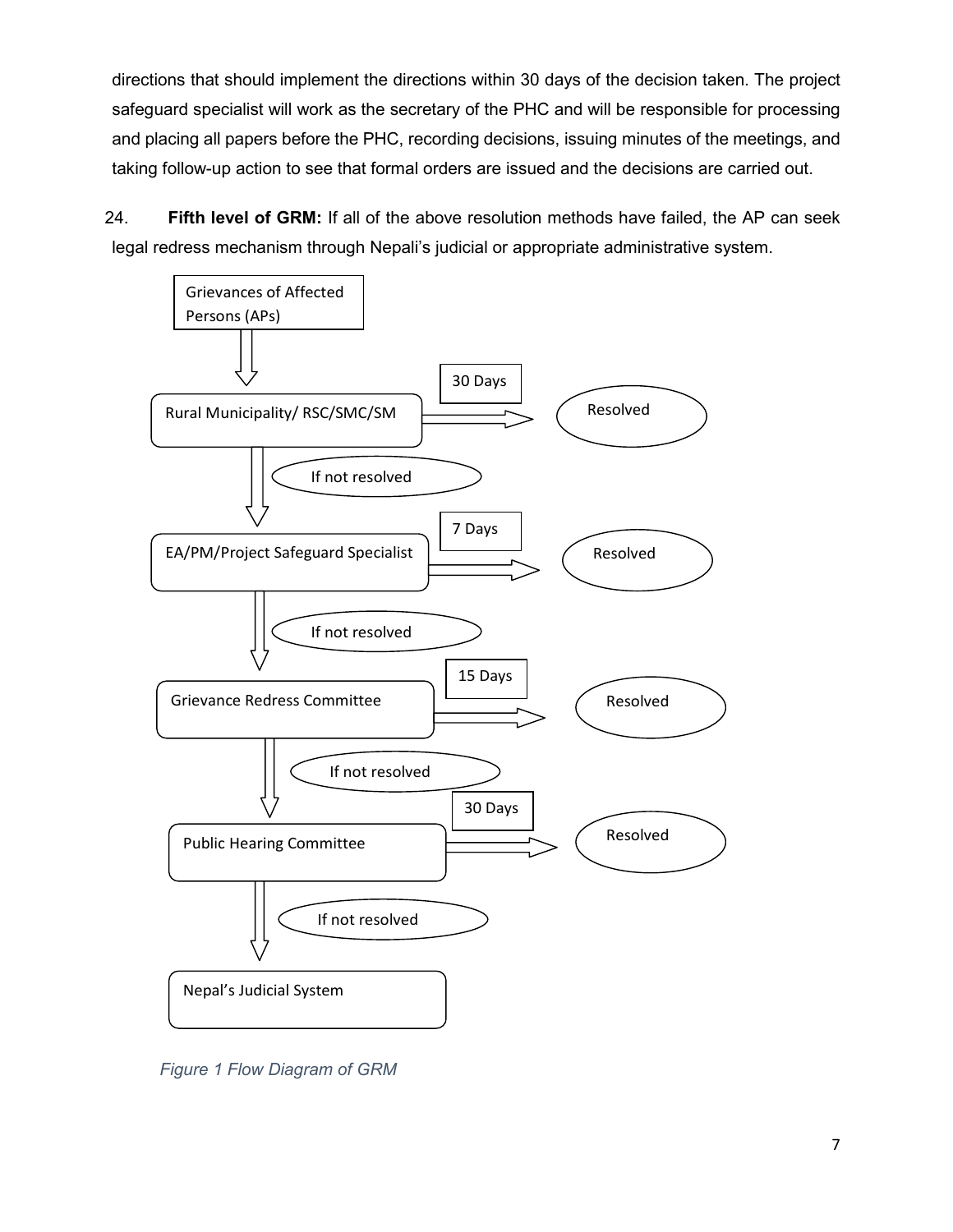directions that should implement the directions within 30 days of the decision taken. The project safeguard specialist will work as the secretary of the PHC and will be responsible for processing and placing all papers before the PHC, recording decisions, issuing minutes of the meetings, and taking follow-up action to see that formal orders are issued and the decisions are carried out.

24. **Fifth level of GRM:** If all of the above resolution methods have failed, the AP can seek legal redress mechanism through Nepali's judicial or appropriate administrative system.



 *Figure 1 Flow Diagram of GRM*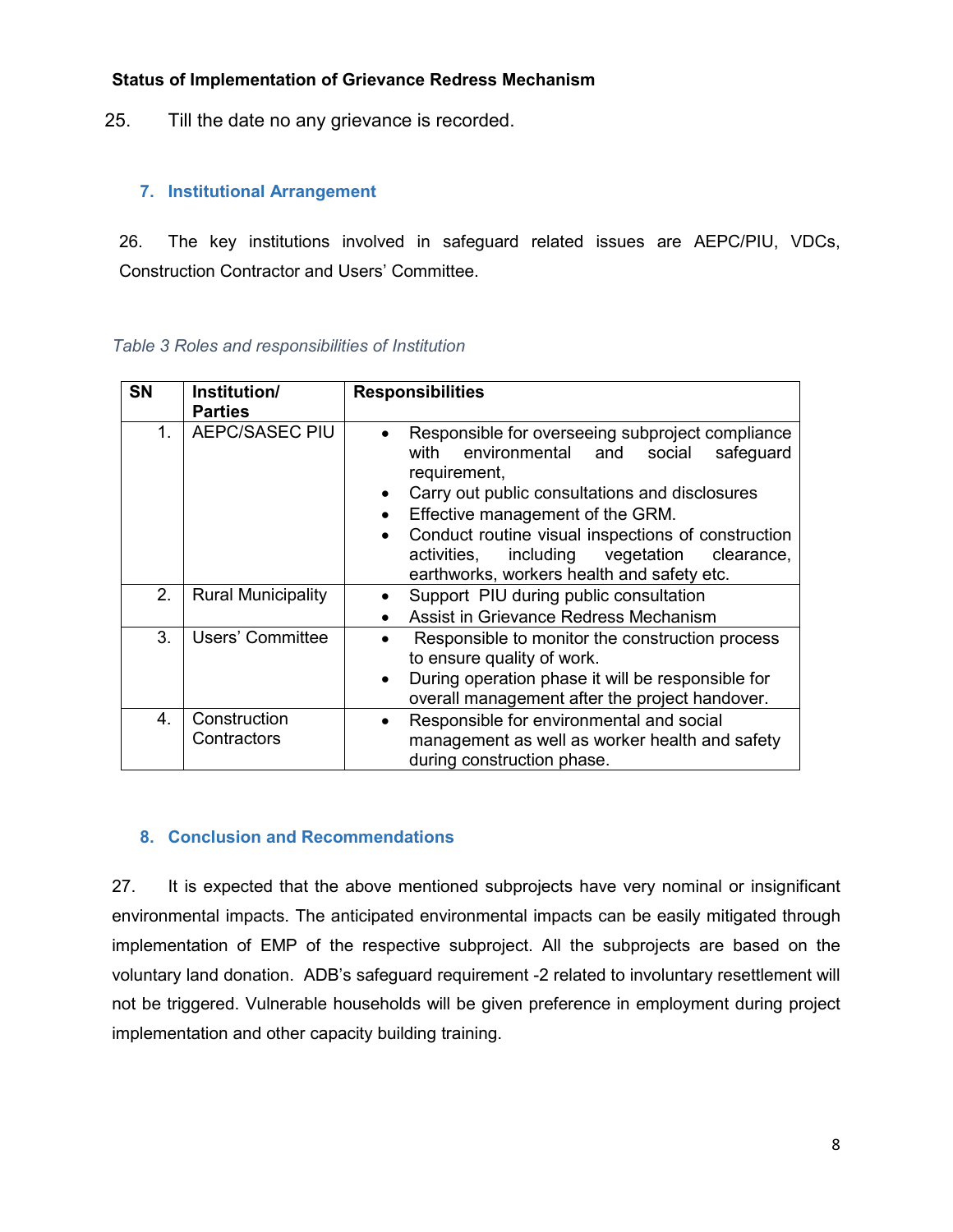#### **Status of Implementation of Grievance Redress Mechanism**

25. Till the date no any grievance is recorded.

#### **7. Institutional Arrangement**

26. The key institutions involved in safeguard related issues are AEPC/PIU, VDCs, Construction Contractor and Users' Committee.

| <b>SN</b>   | Institution/                | <b>Responsibilities</b>                                                                                                                                                                                                                                                                                                                                                                                                 |  |  |  |  |  |
|-------------|-----------------------------|-------------------------------------------------------------------------------------------------------------------------------------------------------------------------------------------------------------------------------------------------------------------------------------------------------------------------------------------------------------------------------------------------------------------------|--|--|--|--|--|
|             | <b>Parties</b>              |                                                                                                                                                                                                                                                                                                                                                                                                                         |  |  |  |  |  |
| 1.          | AEPC/SASEC PIU              | Responsible for overseeing subproject compliance<br>$\bullet$<br>with<br>environmental and<br>social<br>safeguard<br>requirement,<br>Carry out public consultations and disclosures<br>$\bullet$<br>Effective management of the GRM.<br>$\bullet$<br>Conduct routine visual inspections of construction<br>$\bullet$<br>including vegetation<br>activities,<br>clearance,<br>earthworks, workers health and safety etc. |  |  |  |  |  |
| 2.          | <b>Rural Municipality</b>   | Support PIU during public consultation<br>Assist in Grievance Redress Mechanism                                                                                                                                                                                                                                                                                                                                         |  |  |  |  |  |
| 3.          | Users' Committee            | Responsible to monitor the construction process<br>to ensure quality of work.<br>During operation phase it will be responsible for<br>$\bullet$<br>overall management after the project handover.                                                                                                                                                                                                                       |  |  |  |  |  |
| $4_{\cdot}$ | Construction<br>Contractors | Responsible for environmental and social<br>$\bullet$<br>management as well as worker health and safety<br>during construction phase.                                                                                                                                                                                                                                                                                   |  |  |  |  |  |

*Table 3 Roles and responsibilities of Institution* 

#### **8. Conclusion and Recommendations**

27. It is expected that the above mentioned subprojects have very nominal or insignificant environmental impacts. The anticipated environmental impacts can be easily mitigated through implementation of EMP of the respective subproject. All the subprojects are based on the voluntary land donation. ADB's safeguard requirement -2 related to involuntary resettlement will not be triggered. Vulnerable households will be given preference in employment during project implementation and other capacity building training.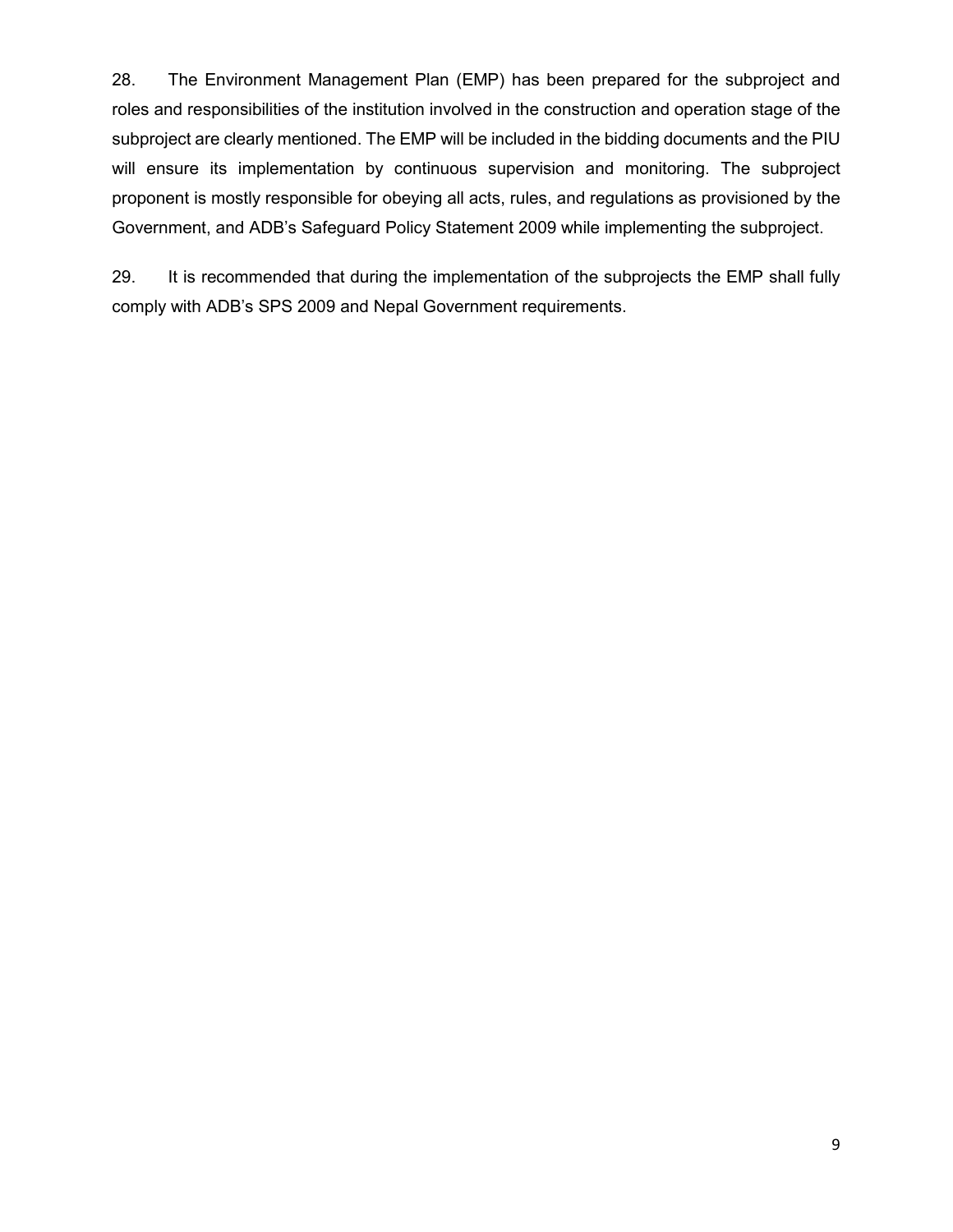28. The Environment Management Plan (EMP) has been prepared for the subproject and roles and responsibilities of the institution involved in the construction and operation stage of the subproject are clearly mentioned. The EMP will be included in the bidding documents and the PIU will ensure its implementation by continuous supervision and monitoring. The subproject proponent is mostly responsible for obeying all acts, rules, and regulations as provisioned by the Government, and ADB's Safeguard Policy Statement 2009 while implementing the subproject.

29. It is recommended that during the implementation of the subprojects the EMP shall fully comply with ADB's SPS 2009 and Nepal Government requirements.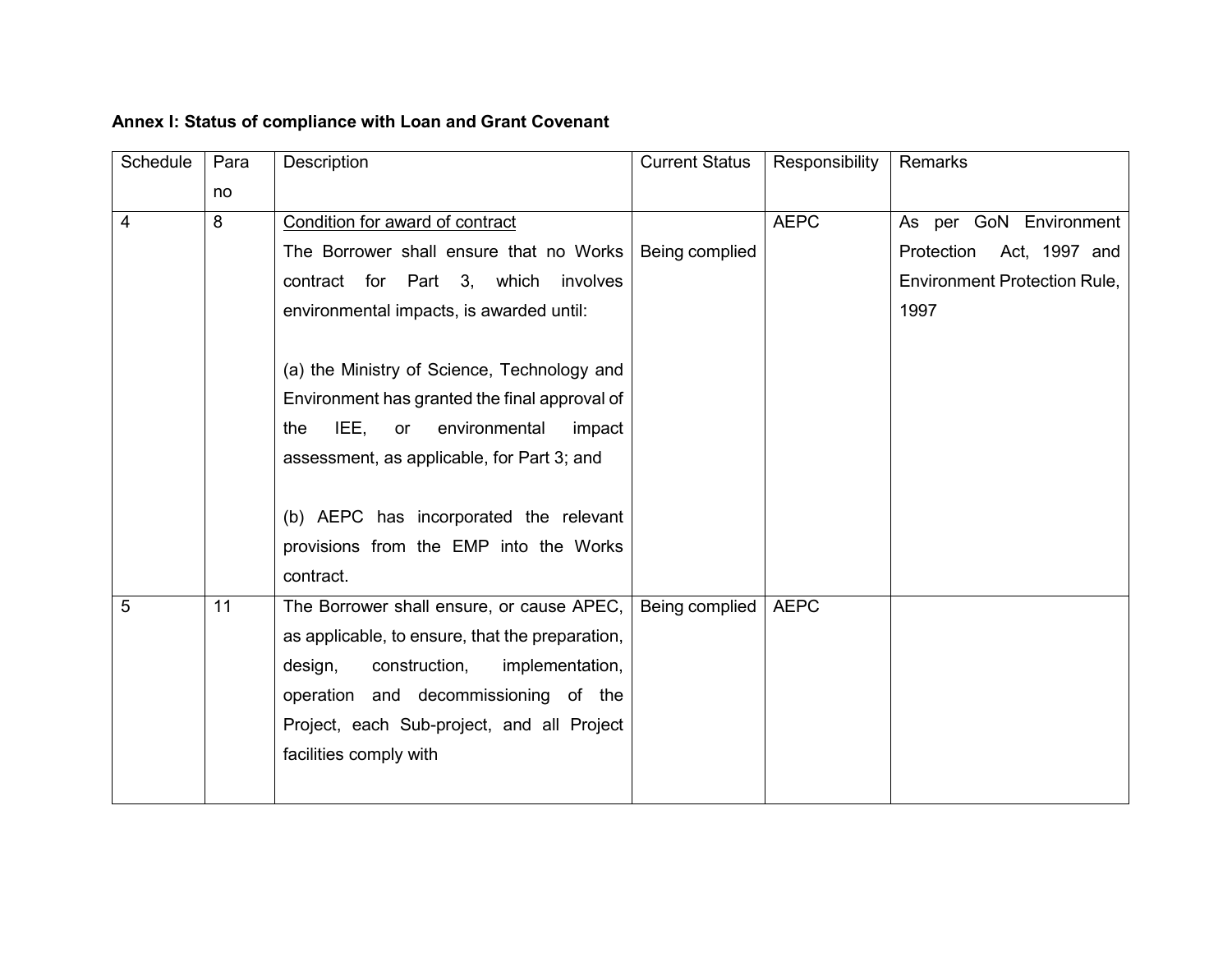| Annex I: Status of compliance with Loan and Grant Covenant |
|------------------------------------------------------------|
|------------------------------------------------------------|

| Schedule | Para | Description                                     | <b>Current Status</b> | Responsibility | Remarks                             |
|----------|------|-------------------------------------------------|-----------------------|----------------|-------------------------------------|
|          | no   |                                                 |                       |                |                                     |
| 4        | 8    | Condition for award of contract                 |                       | <b>AEPC</b>    | As per GoN Environment              |
|          |      | The Borrower shall ensure that no Works         | Being complied        |                | Protection<br>Act, 1997 and         |
|          |      | contract for Part 3, which<br>involves          |                       |                | <b>Environment Protection Rule,</b> |
|          |      | environmental impacts, is awarded until:        |                       |                | 1997                                |
|          |      |                                                 |                       |                |                                     |
|          |      | (a) the Ministry of Science, Technology and     |                       |                |                                     |
|          |      | Environment has granted the final approval of   |                       |                |                                     |
|          |      | IEE,<br>environmental<br>the<br>or<br>impact    |                       |                |                                     |
|          |      | assessment, as applicable, for Part 3; and      |                       |                |                                     |
|          |      |                                                 |                       |                |                                     |
|          |      | (b) AEPC has incorporated the relevant          |                       |                |                                     |
|          |      | provisions from the EMP into the Works          |                       |                |                                     |
|          |      | contract.                                       |                       |                |                                     |
| 5        | 11   | The Borrower shall ensure, or cause APEC,       | Being complied        | <b>AEPC</b>    |                                     |
|          |      | as applicable, to ensure, that the preparation, |                       |                |                                     |
|          |      | design,<br>construction,<br>implementation,     |                       |                |                                     |
|          |      | operation and decommissioning of the            |                       |                |                                     |
|          |      | Project, each Sub-project, and all Project      |                       |                |                                     |
|          |      | facilities comply with                          |                       |                |                                     |
|          |      |                                                 |                       |                |                                     |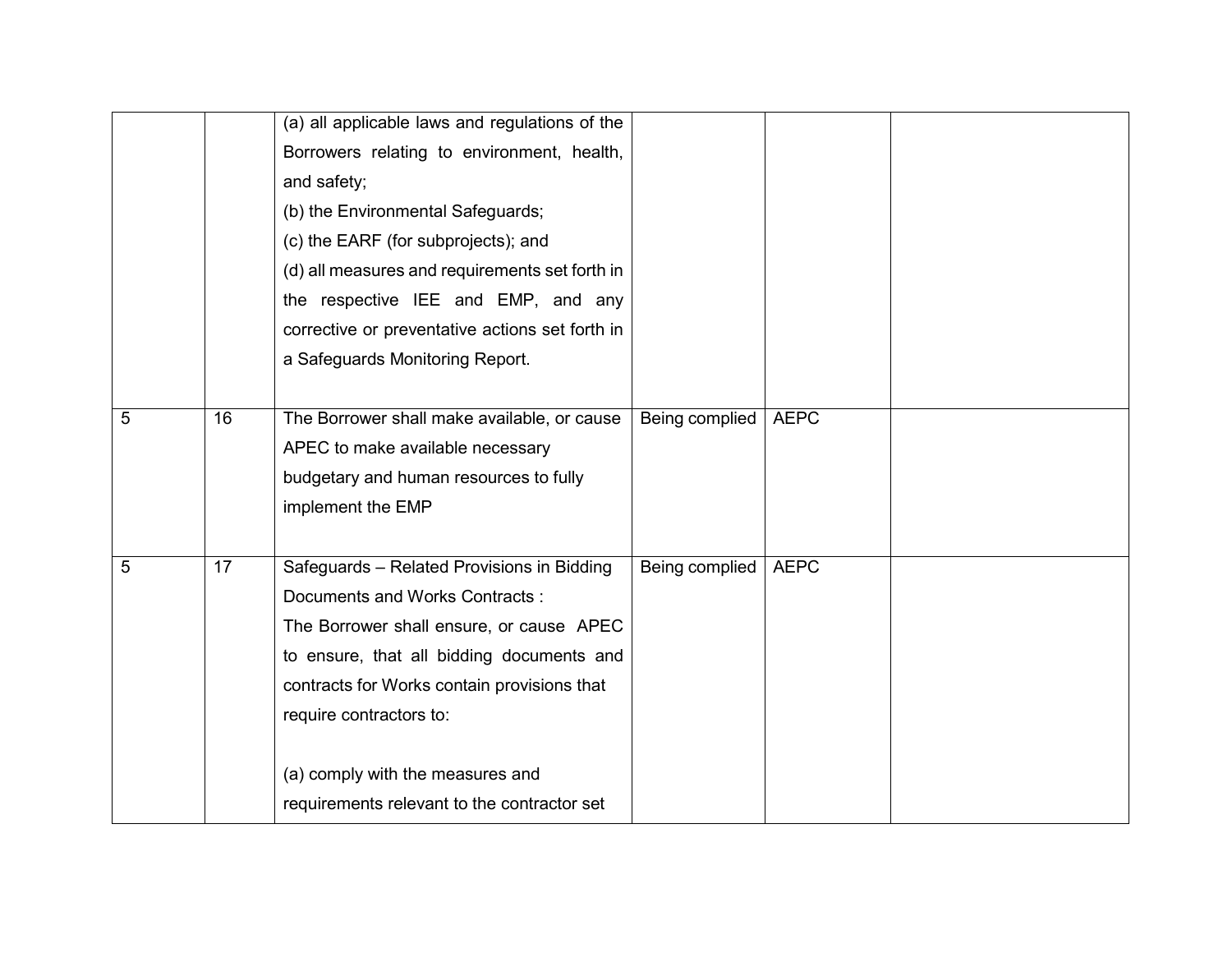|   |    | (a) all applicable laws and regulations of the<br>Borrowers relating to environment, health,<br>and safety;<br>(b) the Environmental Safeguards;<br>(c) the EARF (for subprojects); and<br>(d) all measures and requirements set forth in<br>the respective IEE and EMP, and any    |                |             |  |
|---|----|-------------------------------------------------------------------------------------------------------------------------------------------------------------------------------------------------------------------------------------------------------------------------------------|----------------|-------------|--|
|   |    | corrective or preventative actions set forth in<br>a Safeguards Monitoring Report.                                                                                                                                                                                                  |                |             |  |
| 5 | 16 | The Borrower shall make available, or cause<br>APEC to make available necessary<br>budgetary and human resources to fully<br>implement the EMP                                                                                                                                      | Being complied | <b>AEPC</b> |  |
| 5 | 17 | Safeguards - Related Provisions in Bidding<br>Documents and Works Contracts:<br>The Borrower shall ensure, or cause APEC<br>to ensure, that all bidding documents and<br>contracts for Works contain provisions that<br>require contractors to:<br>(a) comply with the measures and | Being complied | <b>AEPC</b> |  |
|   |    | requirements relevant to the contractor set                                                                                                                                                                                                                                         |                |             |  |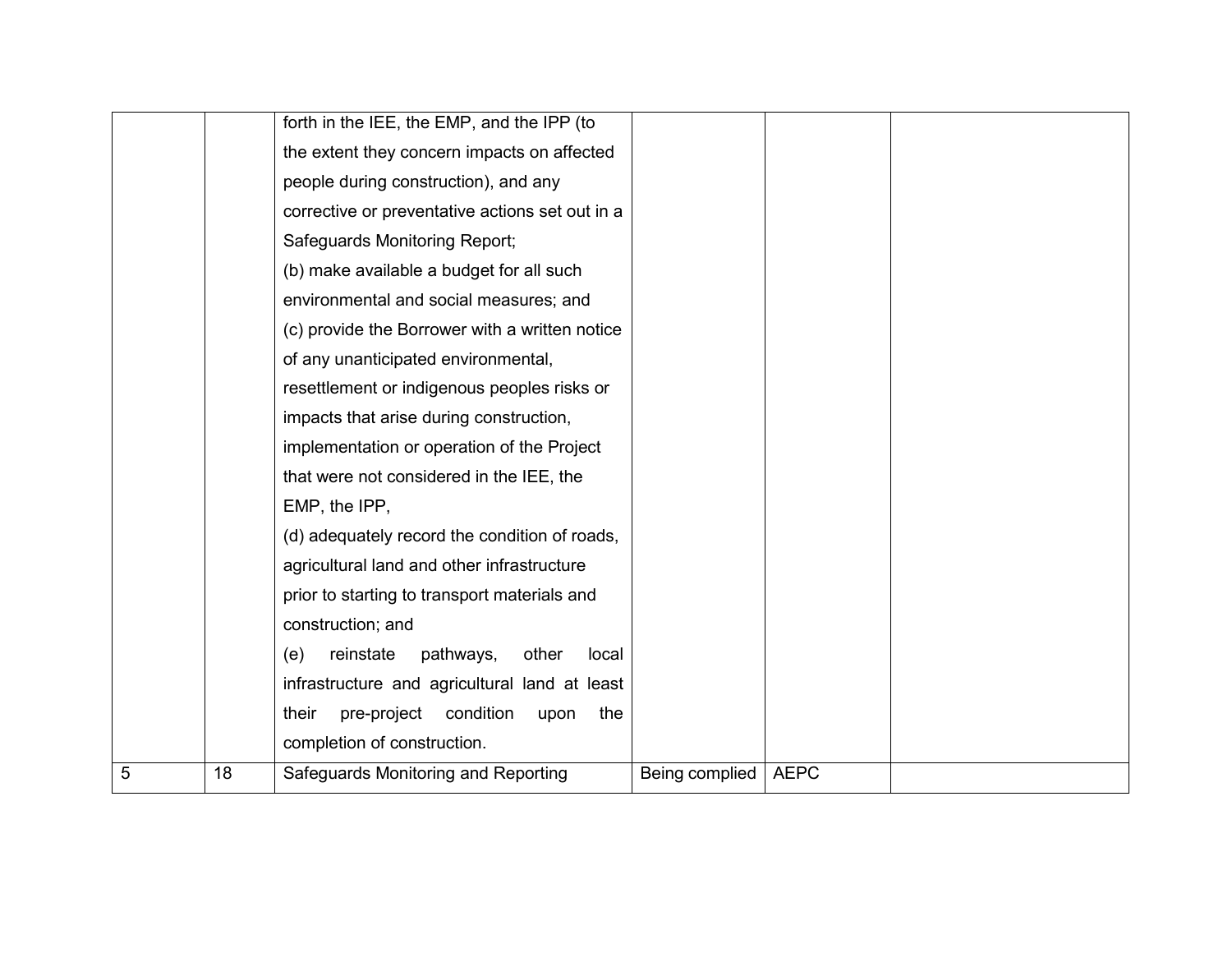|                |    | forth in the IEE, the EMP, and the IPP (to       |                |             |  |
|----------------|----|--------------------------------------------------|----------------|-------------|--|
|                |    |                                                  |                |             |  |
|                |    | the extent they concern impacts on affected      |                |             |  |
|                |    | people during construction), and any             |                |             |  |
|                |    | corrective or preventative actions set out in a  |                |             |  |
|                |    | Safeguards Monitoring Report;                    |                |             |  |
|                |    | (b) make available a budget for all such         |                |             |  |
|                |    | environmental and social measures; and           |                |             |  |
|                |    | (c) provide the Borrower with a written notice   |                |             |  |
|                |    | of any unanticipated environmental,              |                |             |  |
|                |    | resettlement or indigenous peoples risks or      |                |             |  |
|                |    | impacts that arise during construction,          |                |             |  |
|                |    | implementation or operation of the Project       |                |             |  |
|                |    | that were not considered in the IEE, the         |                |             |  |
|                |    | EMP, the IPP,                                    |                |             |  |
|                |    | (d) adequately record the condition of roads,    |                |             |  |
|                |    | agricultural land and other infrastructure       |                |             |  |
|                |    | prior to starting to transport materials and     |                |             |  |
|                |    | construction; and                                |                |             |  |
|                |    | reinstate<br>pathways,<br>other<br>local<br>(e)  |                |             |  |
|                |    | infrastructure and agricultural land at least    |                |             |  |
|                |    | condition<br>their<br>pre-project<br>the<br>upon |                |             |  |
|                |    | completion of construction.                      |                |             |  |
| $\overline{5}$ | 18 | Safeguards Monitoring and Reporting              | Being complied | <b>AEPC</b> |  |
|                |    |                                                  |                |             |  |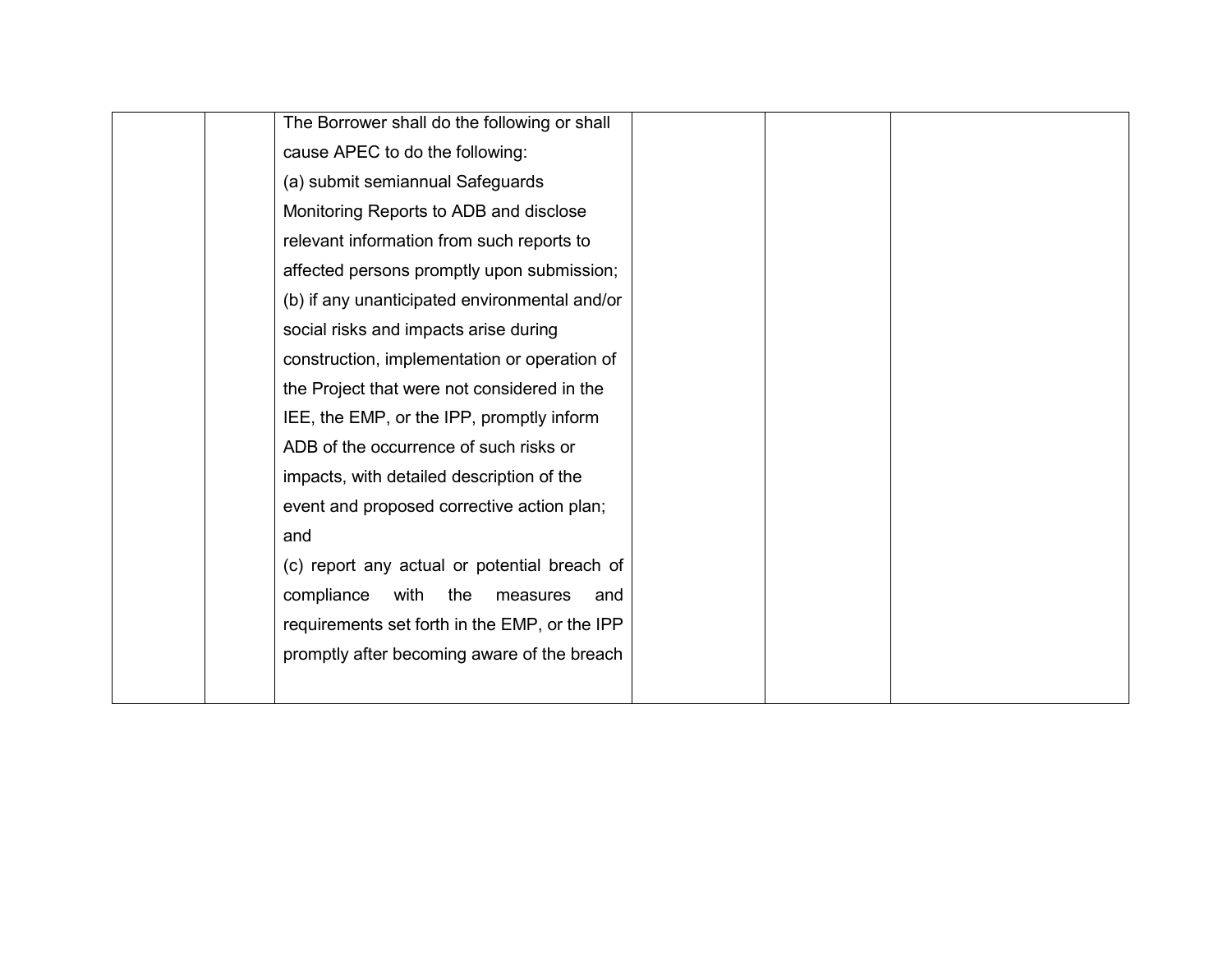| The Borrower shall do the following or shall  |  |  |
|-----------------------------------------------|--|--|
| cause APEC to do the following:               |  |  |
| (a) submit semiannual Safeguards              |  |  |
| Monitoring Reports to ADB and disclose        |  |  |
| relevant information from such reports to     |  |  |
| affected persons promptly upon submission;    |  |  |
| (b) if any unanticipated environmental and/or |  |  |
| social risks and impacts arise during         |  |  |
| construction, implementation or operation of  |  |  |
| the Project that were not considered in the   |  |  |
| IEE, the EMP, or the IPP, promptly inform     |  |  |
| ADB of the occurrence of such risks or        |  |  |
| impacts, with detailed description of the     |  |  |
| event and proposed corrective action plan;    |  |  |
| and                                           |  |  |
| (c) report any actual or potential breach of  |  |  |
| compliance<br>with<br>the<br>measures<br>and  |  |  |
| requirements set forth in the EMP, or the IPP |  |  |
| promptly after becoming aware of the breach   |  |  |
|                                               |  |  |
|                                               |  |  |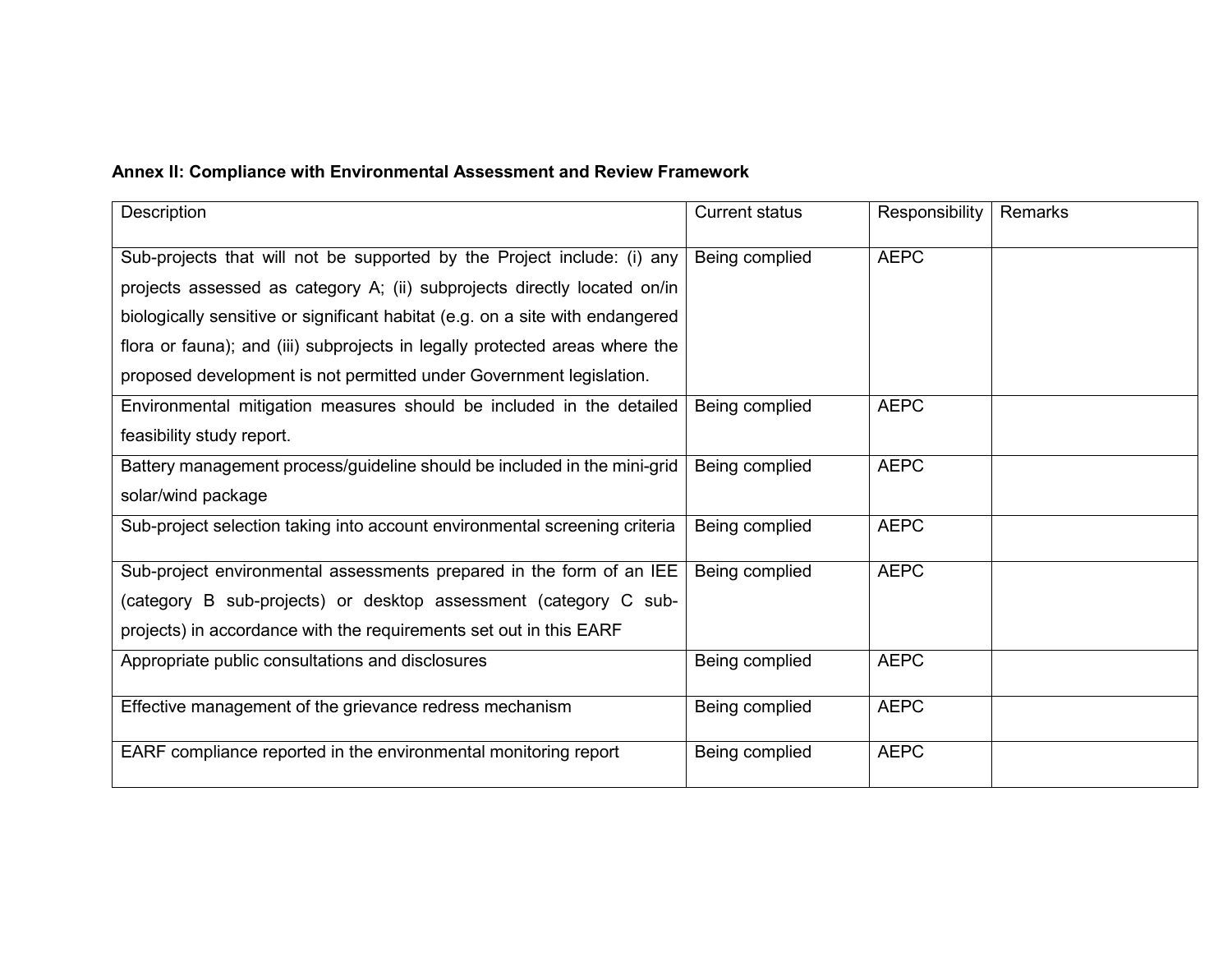#### **Annex II: Compliance with Environmental Assessment and Review Framework**

| Description                                                                   | <b>Current status</b> | Responsibility | Remarks |
|-------------------------------------------------------------------------------|-----------------------|----------------|---------|
| Sub-projects that will not be supported by the Project include: (i) any       | Being complied        | <b>AEPC</b>    |         |
| projects assessed as category A; (ii) subprojects directly located on/in      |                       |                |         |
| biologically sensitive or significant habitat (e.g. on a site with endangered |                       |                |         |
| flora or fauna); and (iii) subprojects in legally protected areas where the   |                       |                |         |
| proposed development is not permitted under Government legislation.           |                       |                |         |
| Environmental mitigation measures should be included in the detailed          | Being complied        | <b>AEPC</b>    |         |
| feasibility study report.                                                     |                       |                |         |
| Battery management process/guideline should be included in the mini-grid      | Being complied        | <b>AEPC</b>    |         |
| solar/wind package                                                            |                       |                |         |
| Sub-project selection taking into account environmental screening criteria    | Being complied        | <b>AEPC</b>    |         |
| Sub-project environmental assessments prepared in the form of an IEE          | Being complied        | <b>AEPC</b>    |         |
| (category B sub-projects) or desktop assessment (category C sub-              |                       |                |         |
| projects) in accordance with the requirements set out in this EARF            |                       |                |         |
| Appropriate public consultations and disclosures                              | Being complied        | <b>AEPC</b>    |         |
| Effective management of the grievance redress mechanism                       | Being complied        | <b>AEPC</b>    |         |
| EARF compliance reported in the environmental monitoring report               | Being complied        | <b>AEPC</b>    |         |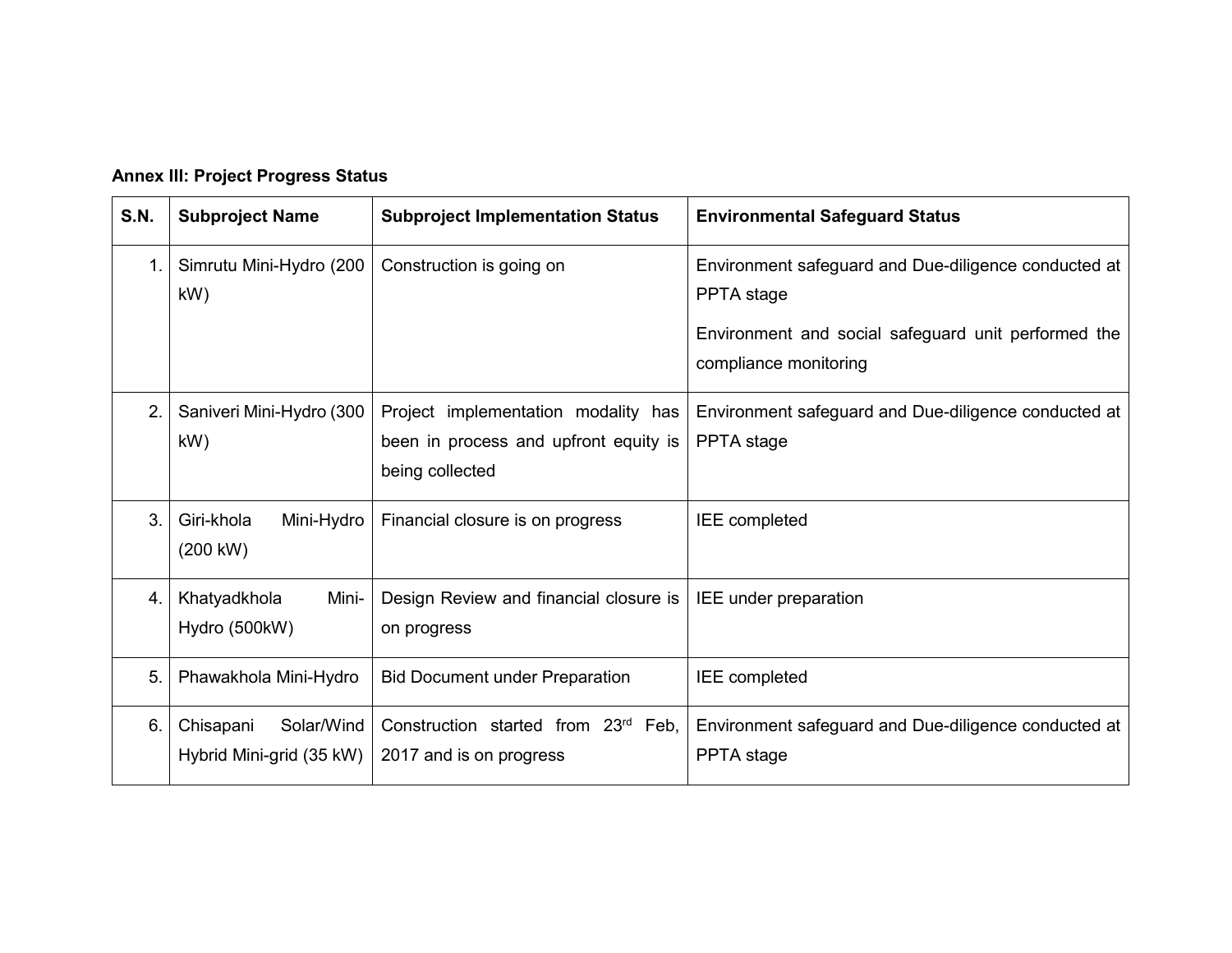#### **Annex III: Project Progress Status**

| <b>S.N.</b>    | <b>Subproject Name</b>                              | <b>Subproject Implementation Status</b>                                                         | <b>Environmental Safeguard Status</b>                                                                                                              |
|----------------|-----------------------------------------------------|-------------------------------------------------------------------------------------------------|----------------------------------------------------------------------------------------------------------------------------------------------------|
| $\mathbf{1}$ . | Simrutu Mini-Hydro (200<br>kW)                      | Construction is going on                                                                        | Environment safeguard and Due-diligence conducted at<br>PPTA stage<br>Environment and social safeguard unit performed the<br>compliance monitoring |
| 2.             | Saniveri Mini-Hydro (300<br>kW)                     | Project implementation modality has<br>been in process and upfront equity is<br>being collected | Environment safeguard and Due-diligence conducted at<br>PPTA stage                                                                                 |
| 3.             | Giri-khola<br>Mini-Hydro<br>(200 kW)                | Financial closure is on progress                                                                | <b>IEE</b> completed                                                                                                                               |
| 4.             | Khatyadkhola<br>Mini-<br>Hydro (500kW)              | Design Review and financial closure is<br>on progress                                           | IEE under preparation                                                                                                                              |
| 5.             | Phawakhola Mini-Hydro                               | <b>Bid Document under Preparation</b>                                                           | <b>IEE</b> completed                                                                                                                               |
| 6.             | Solar/Wind<br>Chisapani<br>Hybrid Mini-grid (35 kW) | Construction started from 23rd Feb,<br>2017 and is on progress                                  | Environment safeguard and Due-diligence conducted at<br>PPTA stage                                                                                 |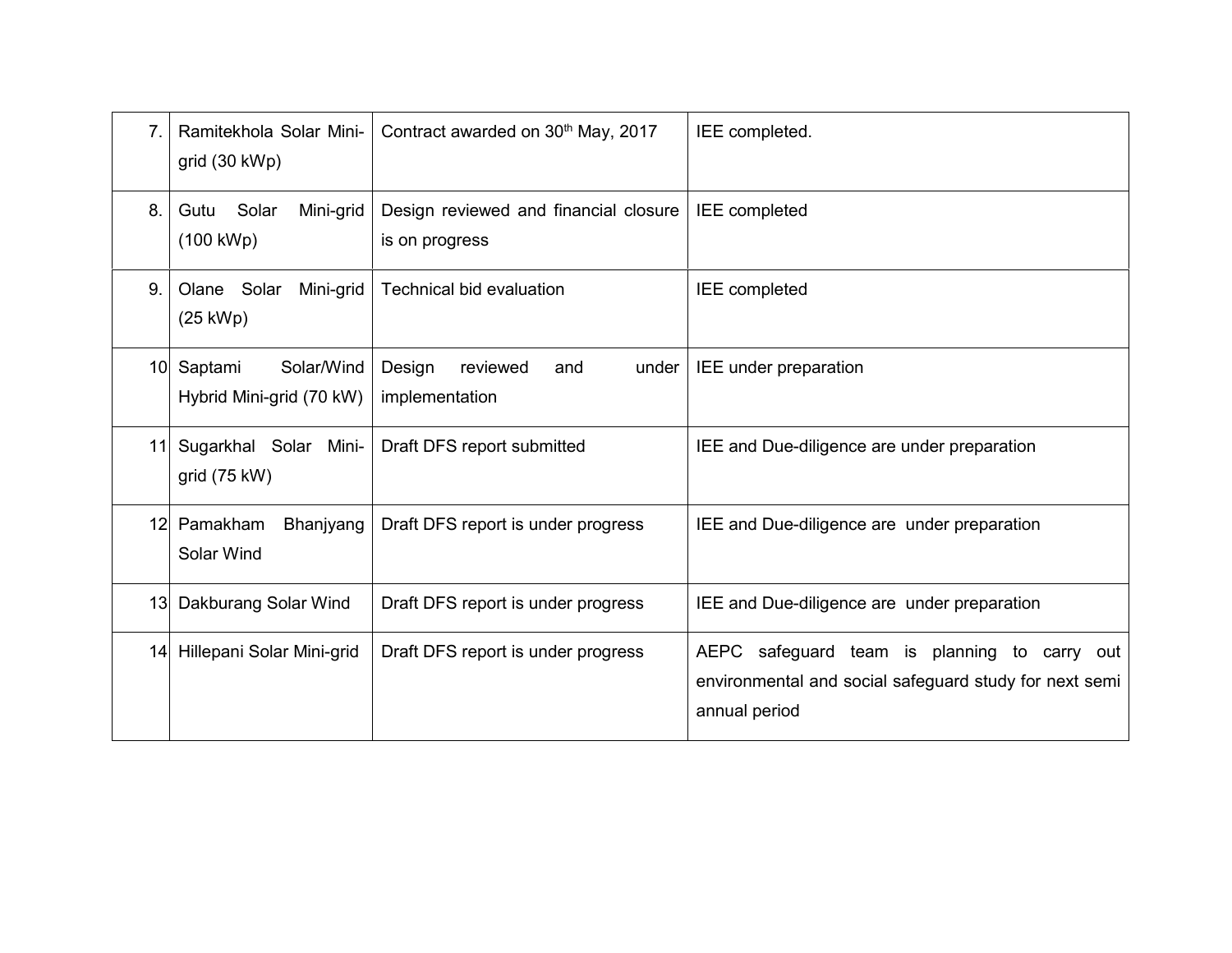| 7.              | Ramitekhola Solar Mini-<br>grid (30 kWp)                                                                     | Contract awarded on 30 <sup>th</sup> May, 2017          | IEE completed.                                                                                                          |
|-----------------|--------------------------------------------------------------------------------------------------------------|---------------------------------------------------------|-------------------------------------------------------------------------------------------------------------------------|
| 8.              | Solar<br>Mini-grid<br>Gutu<br>$(100 \text{ kWh})$                                                            | Design reviewed and financial closure<br>is on progress | <b>IEE</b> completed                                                                                                    |
| 9.              | Olane Solar<br>Mini-grid<br>(25 kWp)                                                                         | Technical bid evaluation                                | <b>IEE</b> completed                                                                                                    |
|                 | 10 Saptami<br>Solar/Wind<br>Design<br>reviewed<br>and<br>under<br>Hybrid Mini-grid (70 kW)<br>implementation |                                                         | IEE under preparation                                                                                                   |
|                 | Sugarkhal Solar Mini-<br>Draft DFS report submitted<br>11<br>grid (75 kW)                                    |                                                         | IEE and Due-diligence are under preparation                                                                             |
|                 | Pamakham<br>Bhanjyang<br>12 <sub>l</sub><br>Draft DFS report is under progress<br>Solar Wind                 |                                                         | IEE and Due-diligence are under preparation                                                                             |
| 13 <sup>l</sup> | Dakburang Solar Wind                                                                                         | Draft DFS report is under progress                      | IEE and Due-diligence are under preparation                                                                             |
| 14              | Hillepani Solar Mini-grid                                                                                    | Draft DFS report is under progress                      | AEPC safeguard team is planning to carry out<br>environmental and social safeguard study for next semi<br>annual period |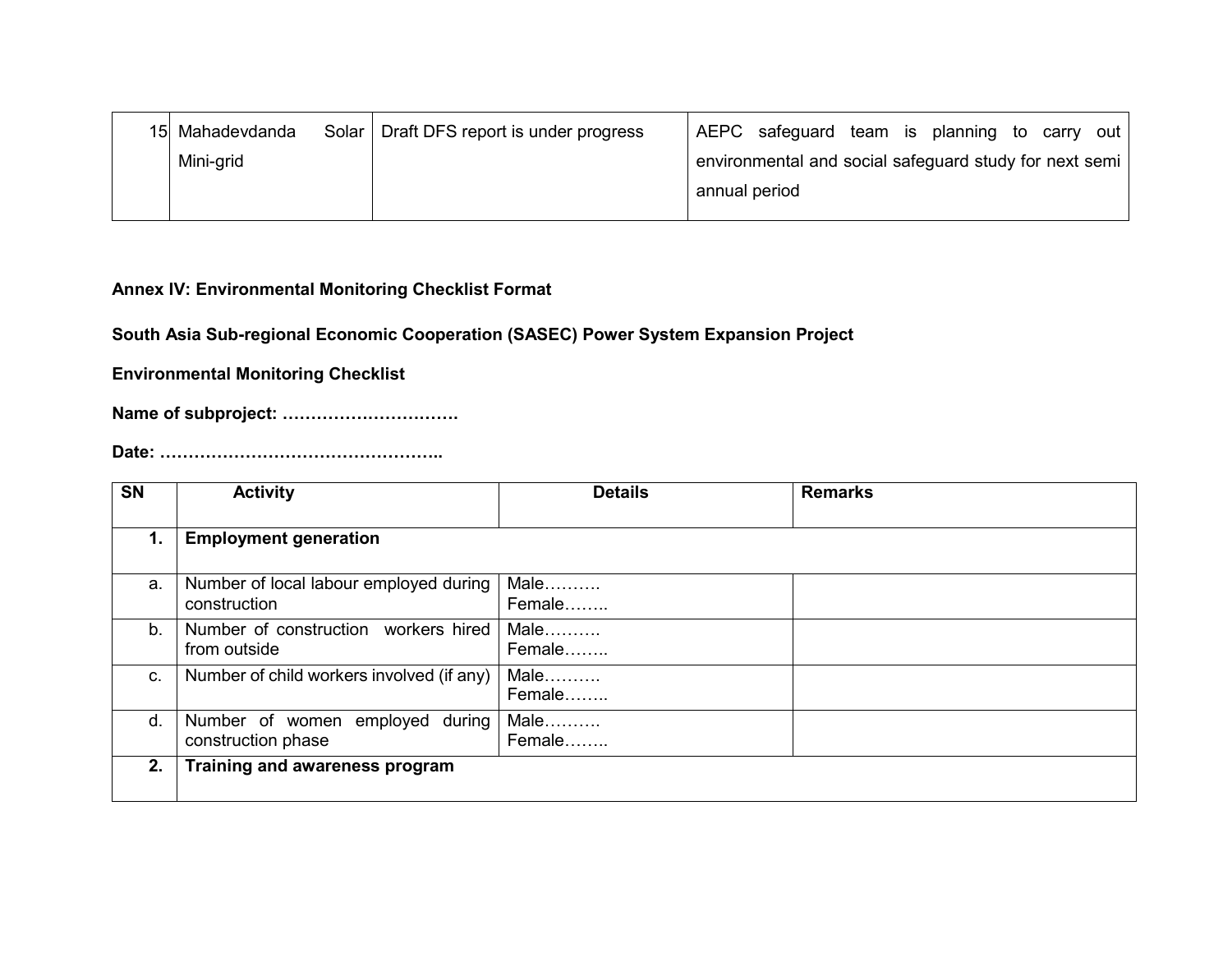| 15 Mahadevdanda | Solar   Draft DFS report is under progress |               | AEPC safeguard team is planning to carry out           |  |  |  |
|-----------------|--------------------------------------------|---------------|--------------------------------------------------------|--|--|--|
| Mini-grid       |                                            |               | environmental and social safeguard study for next semi |  |  |  |
|                 |                                            | annual period |                                                        |  |  |  |
|                 |                                            |               |                                                        |  |  |  |

#### **Annex IV: Environmental Monitoring Checklist Format**

**South Asia Sub-regional Economic Cooperation (SASEC) Power System Expansion Project** 

**Environmental Monitoring Checklist** 

**Name of subproject: ...............................** 

**Date: 9999999999999999..** 

| <b>SN</b> | <b>Activity</b>                                        | <b>Details</b> | <b>Remarks</b> |
|-----------|--------------------------------------------------------|----------------|----------------|
| 1.        | <b>Employment generation</b>                           |                |                |
| a.        | Number of local labour employed during<br>construction | Male<br>Female |                |
| b.        | Number of construction workers hired<br>from outside   | Male<br>Female |                |
| C.        | Number of child workers involved (if any)              | Male<br>Female |                |
| d.        | Number of women employed during<br>construction phase  | Male<br>Female |                |
| 2.        | Training and awareness program                         |                |                |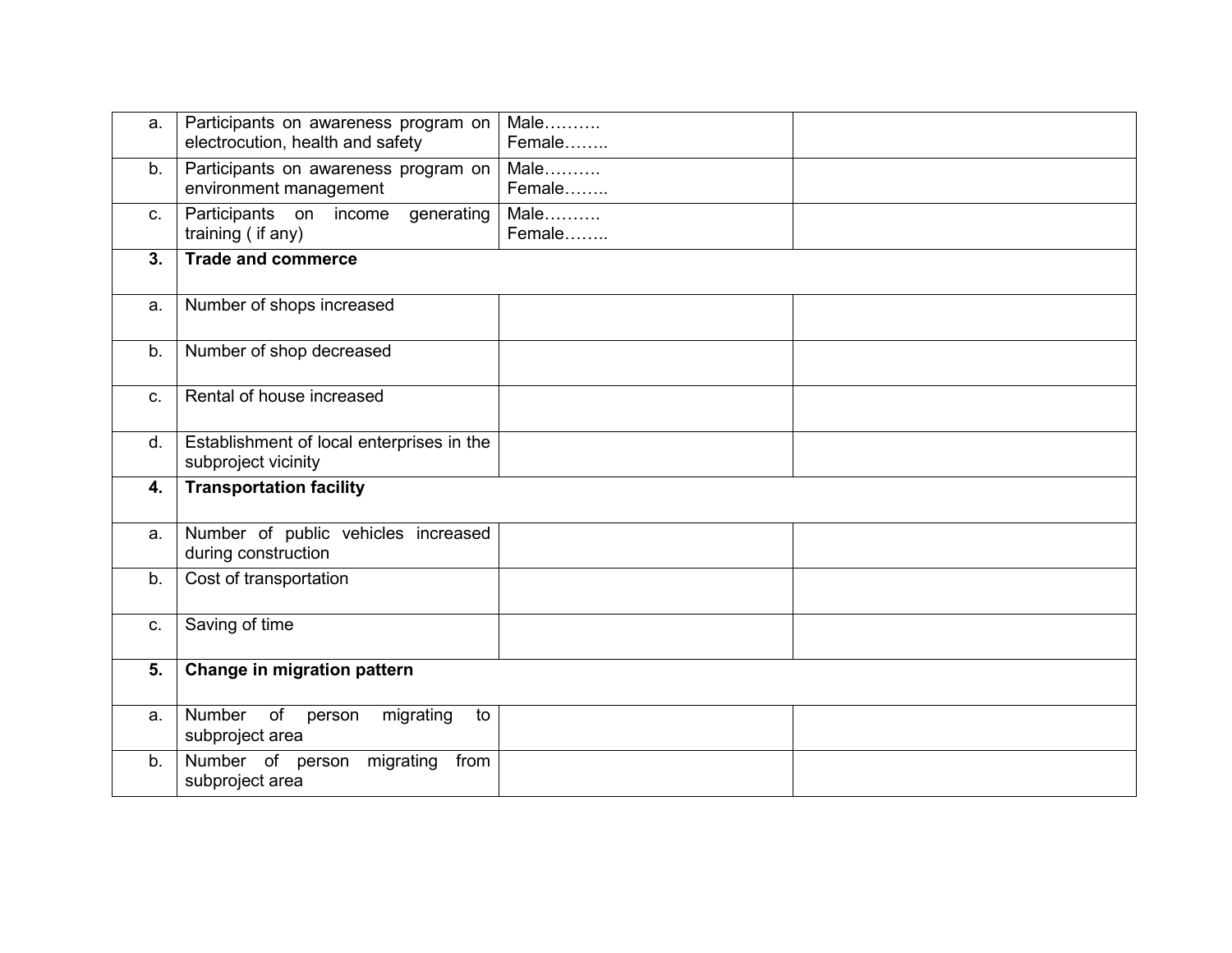| a. | Participants on awareness program on<br>electrocution, health and safety | Male<br>Female |  |
|----|--------------------------------------------------------------------------|----------------|--|
| b. | Participants on awareness program on<br>environment management           | Male<br>Female |  |
| C. | Participants on income generating<br>training (if any)                   | Male<br>Female |  |
| 3. | <b>Trade and commerce</b>                                                |                |  |
| a. | Number of shops increased                                                |                |  |
| b. | Number of shop decreased                                                 |                |  |
| C. | Rental of house increased                                                |                |  |
| d. | Establishment of local enterprises in the<br>subproject vicinity         |                |  |
| 4. | <b>Transportation facility</b>                                           |                |  |
| a. | Number of public vehicles increased<br>during construction               |                |  |
| b. | Cost of transportation                                                   |                |  |
| C. | Saving of time                                                           |                |  |
| 5. | Change in migration pattern                                              |                |  |
| a. | Number<br>of<br>migrating<br>to<br>person<br>subproject area             |                |  |
| b. | migrating<br>Number of person<br>from<br>subproject area                 |                |  |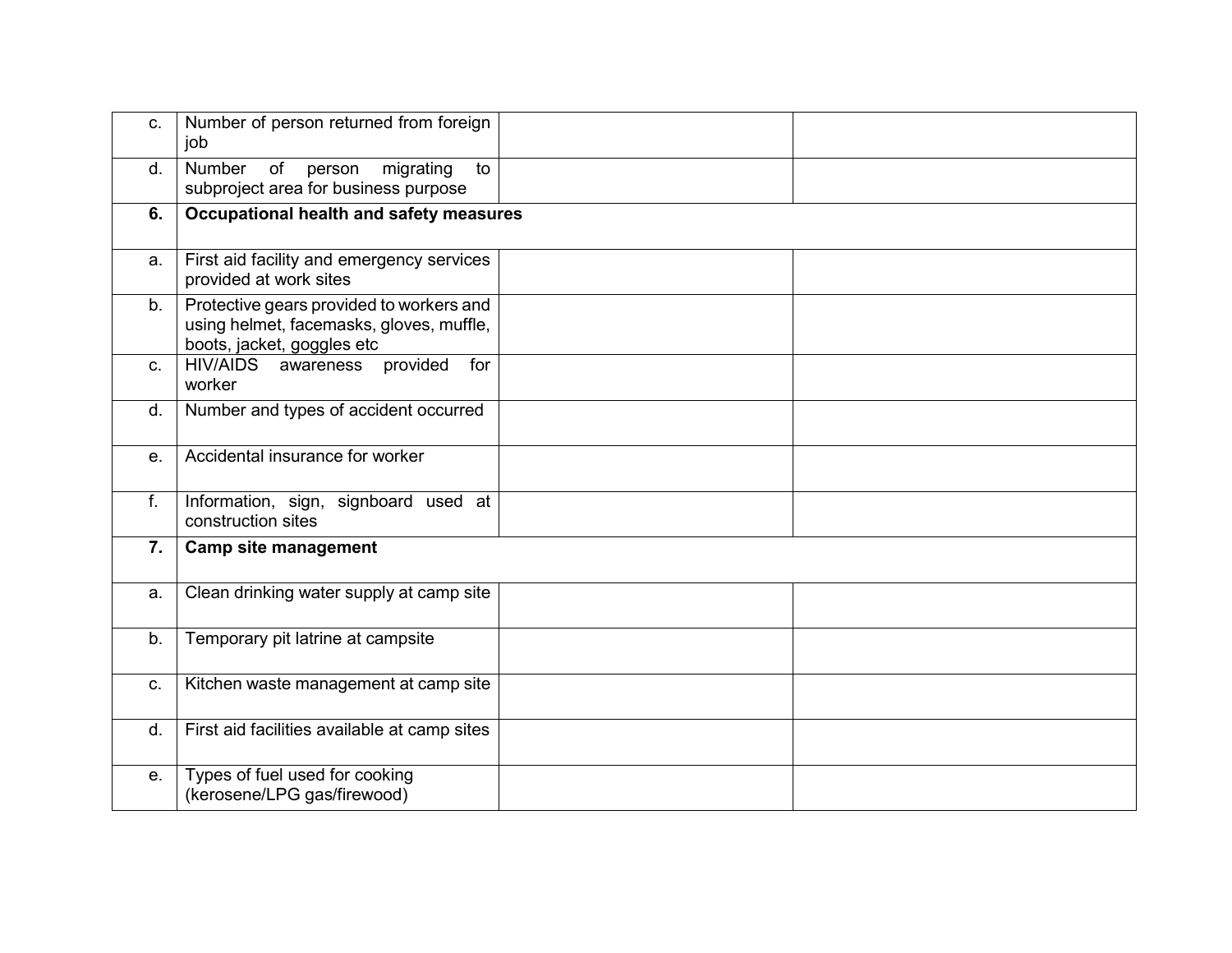| C. | Number of person returned from foreign<br>job                                                                      |  |
|----|--------------------------------------------------------------------------------------------------------------------|--|
| d. | Number<br>of<br>migrating<br>to<br>person<br>subproject area for business purpose                                  |  |
| 6. | Occupational health and safety measures                                                                            |  |
| a. | First aid facility and emergency services<br>provided at work sites                                                |  |
| b. | Protective gears provided to workers and<br>using helmet, facemasks, gloves, muffle,<br>boots, jacket, goggles etc |  |
| C. | HIV/AIDS awareness<br>for<br>provided<br>worker                                                                    |  |
| d. | Number and types of accident occurred                                                                              |  |
| е. | Accidental insurance for worker                                                                                    |  |
| f. | Information, sign, signboard used at<br>construction sites                                                         |  |
| 7. | <b>Camp site management</b>                                                                                        |  |
| a. | Clean drinking water supply at camp site                                                                           |  |
| b. | Temporary pit latrine at campsite                                                                                  |  |
| C. | Kitchen waste management at camp site                                                                              |  |
| d. | First aid facilities available at camp sites                                                                       |  |
| е. | Types of fuel used for cooking<br>(kerosene/LPG gas/firewood)                                                      |  |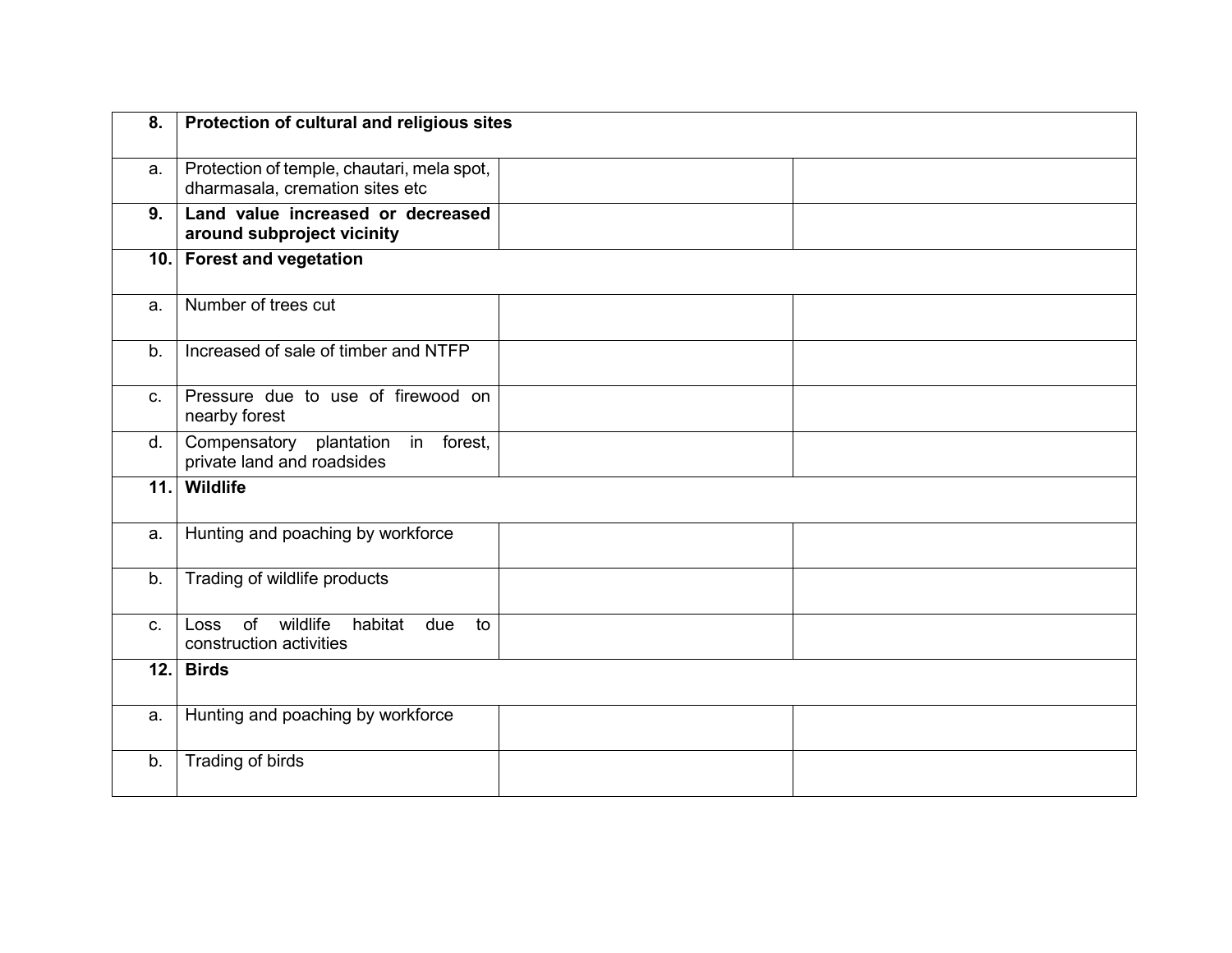| 8.      | Protection of cultural and religious sites                                    |  |
|---------|-------------------------------------------------------------------------------|--|
| а.      | Protection of temple, chautari, mela spot,<br>dharmasala, cremation sites etc |  |
| 9.      | Land value increased or decreased<br>around subproject vicinity               |  |
|         | 10. Forest and vegetation                                                     |  |
| a.      | Number of trees cut                                                           |  |
| b.      | Increased of sale of timber and NTFP                                          |  |
| C.      | Pressure due to use of firewood on<br>nearby forest                           |  |
| d.      | Compensatory plantation<br>in forest,<br>private land and roadsides           |  |
|         | 11. Wildlife                                                                  |  |
| a.      | Hunting and poaching by workforce                                             |  |
| b.      | Trading of wildlife products                                                  |  |
| $C_{-}$ | Loss of<br>wildlife<br>habitat<br>due<br>to<br>construction activities        |  |
|         | $12.$ Birds                                                                   |  |
| a.      | Hunting and poaching by workforce                                             |  |
| b.      | Trading of birds                                                              |  |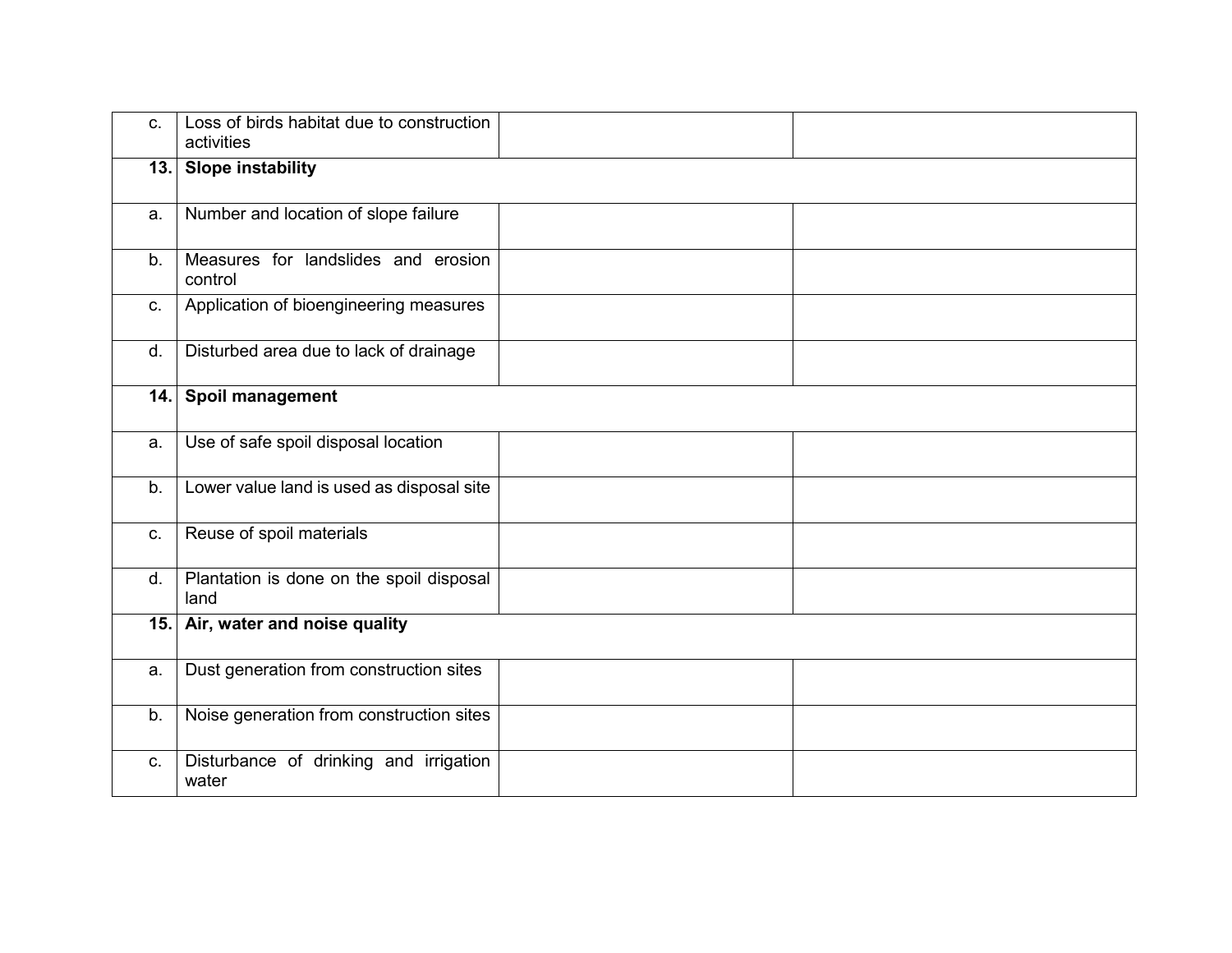| C. | Loss of birds habitat due to construction<br>activities |  |
|----|---------------------------------------------------------|--|
|    | 13. Slope instability                                   |  |
| a. | Number and location of slope failure                    |  |
| b. | Measures for landslides and erosion<br>control          |  |
| C. | Application of bioengineering measures                  |  |
| d. | Disturbed area due to lack of drainage                  |  |
|    | 14. Spoil management                                    |  |
| a. | Use of safe spoil disposal location                     |  |
| b. | Lower value land is used as disposal site               |  |
| C. | Reuse of spoil materials                                |  |
| d. | Plantation is done on the spoil disposal<br>land        |  |
|    | 15. Air, water and noise quality                        |  |
| a. | Dust generation from construction sites                 |  |
| b. | Noise generation from construction sites                |  |
| C. | Disturbance of drinking and irrigation<br>water         |  |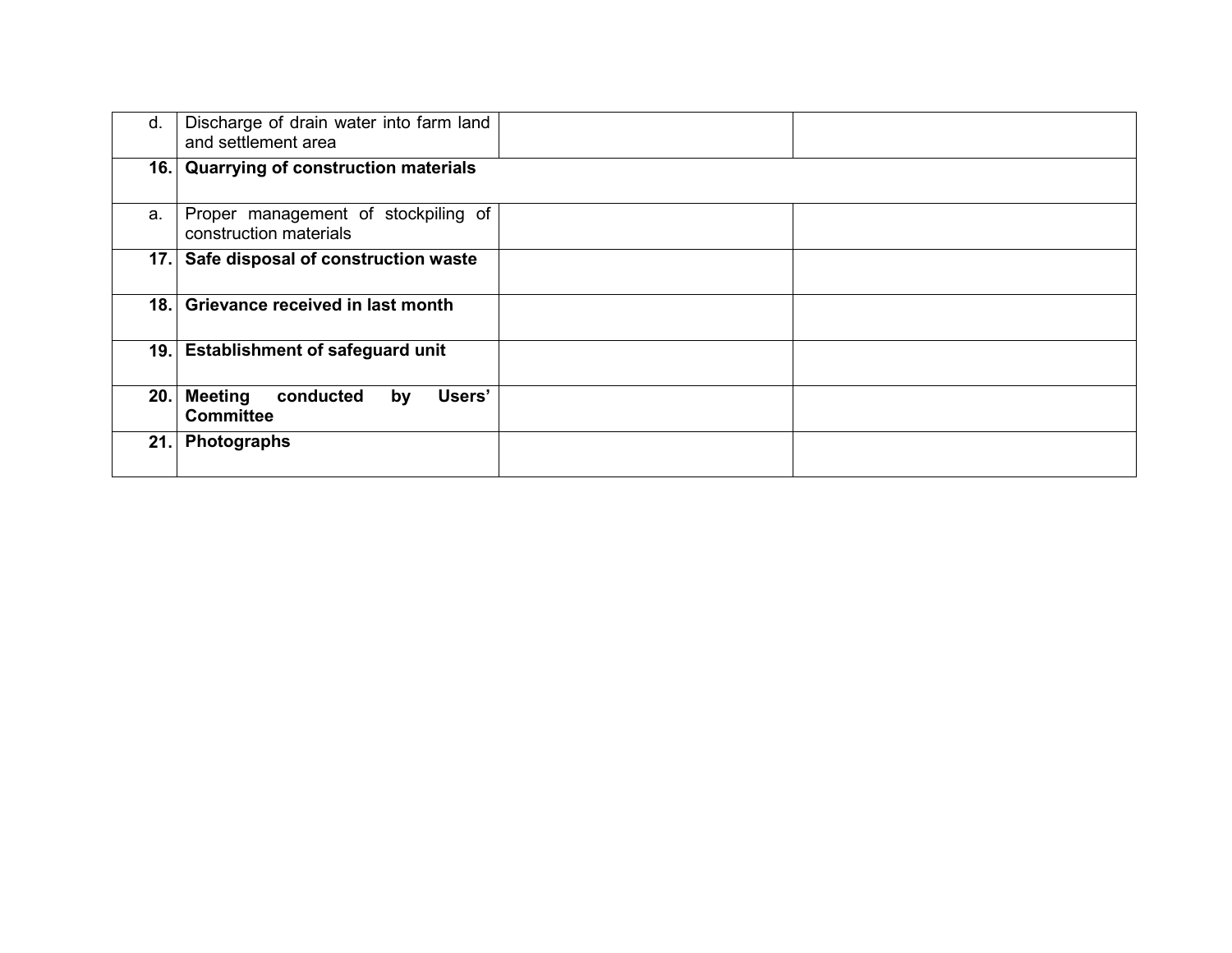| d. | Discharge of drain water into farm land<br>and settlement area |  |  |  |  |  |
|----|----------------------------------------------------------------|--|--|--|--|--|
|    | 16. Quarrying of construction materials                        |  |  |  |  |  |
| a. | Proper management of stockpiling of<br>construction materials  |  |  |  |  |  |
|    | 17. Safe disposal of construction waste                        |  |  |  |  |  |
|    | 18. Grievance received in last month                           |  |  |  |  |  |
|    | 19. Establishment of safeguard unit                            |  |  |  |  |  |
|    | 20. Meeting<br>Users'<br>conducted<br>by<br><b>Committee</b>   |  |  |  |  |  |
|    | 21. Photographs                                                |  |  |  |  |  |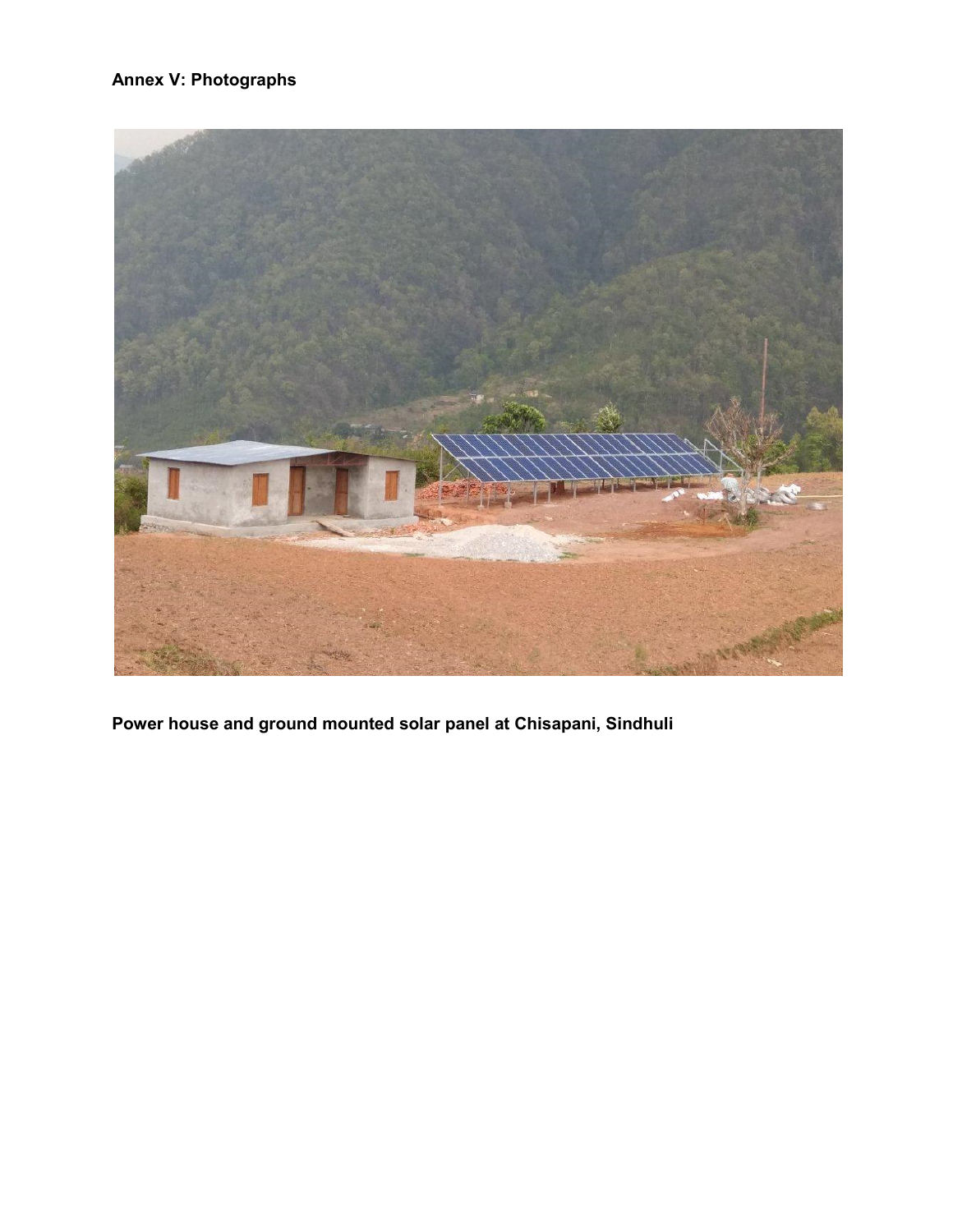### **Annex V: Photographs**



**Power house and ground mounted solar panel at Chisapani, Sindhuli**